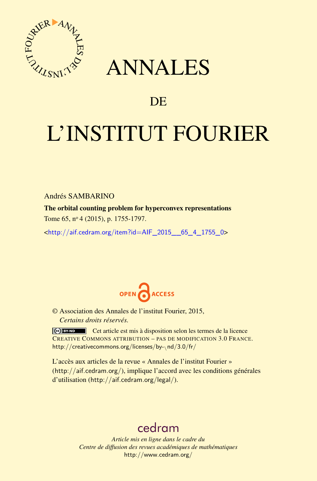

## ANNALES

## **DE**

# L'INSTITUT FOURIER

Andrés SAMBARINO

The orbital counting problem for hyperconvex representations

Tome 65, nº 4 (2015), p. 1755-1797.

 $\kappa$ http://aif.cedram.org/item?id=AIF 2015 65 4 1755 0>



© Association des Annales de l'institut Fourier, 2015, *Certains droits réservés.*

Cet article est mis à disposition selon les termes de la licence CREATIVE COMMONS ATTRIBUTION – PAS DE MODIFICATION 3.0 FRANCE. [http://creativecommons.org/licenses/by-](http://creativecommons.org/licenses/by-nd/3.0/fr/)\nd/3.0/fr/

L'accès aux articles de la revue « Annales de l'institut Fourier » (<http://aif.cedram.org/>), implique l'accord avec les conditions générales d'utilisation (<http://aif.cedram.org/legal/>).

## [cedram](http://www.cedram.org/)

*Article mis en ligne dans le cadre du Centre de diffusion des revues académiques de mathématiques* <http://www.cedram.org/>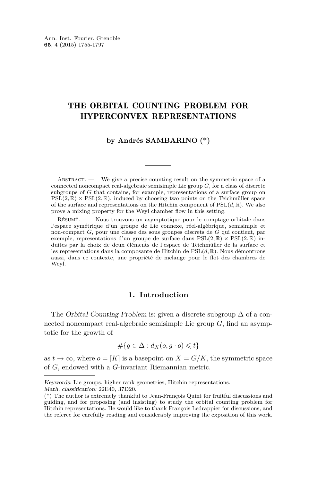#### THE ORBITAL COUNTING PROBLEM FOR HYPERCONVEX REPRESENTATIONS

#### **by Andrés SAMBARINO (\*)**

ABSTRACT.  $\qquad$  We give a precise counting result on the symmetric space of a connected noncompact real-algebraic semisimple Lie group *G,* for a class of discrete subgroups of *G* that contains, for example, representations of a surface group on  $PSL(2,\mathbb{R}) \times PSL(2,\mathbb{R})$ , induced by choosing two points on the Teichmüller space of the surface and representations on the Hitchin component of  $PSL(d, \mathbb{R})$ . We also prove a mixing property for the Weyl chamber flow in this setting.

Résumé. — Nous trouvons un asymptotique pour le comptage orbitale dans l'espace symétrique d'un groupe de Lie connexe, réel-algébrique, semisimple et non-compact *G,* pour une classe des sous groupes discrets de *G* qui contient, par exemple, representations d'un groupe de surface dans  $PSL(2,\mathbb{R}) \times PSL(2,\mathbb{R})$  induites par la choix de deux éléments de l'espace de Teichmüller de la surface et les representations dans la composante de Hitchin de PSL(*d,* R)*.* Nous démontrons aussi, dans ce contexte, une propriété de melange pour le flot des chambres de Weyl.

#### **1. Introduction**

The Orbital Counting Problem is: given a discrete subgroup  $\Delta$  of a connected noncompact real-algebraic semisimple Lie group *G,* find an asymptotic for the growth of

$$
\#\{g\in \Delta: d_X(o,g\cdot o)\leqslant t\}
$$

as  $t \to \infty$ , where  $o = [K]$  is a basepoint on  $X = G/K$ , the symmetric space of *G,* endowed with a *G*-invariant Riemannian metric.

Keywords: Lie groups, higher rank geometries, Hitchin representations. Math. classification: 22E40, 37D20.

<sup>(\*)</sup> The author is extremely thankful to Jean-François Quint for fruitful discussions and guiding, and for proposing (and insisting) to study the orbital counting problem for Hitchin representations. He would like to thank François Ledrappier for discussions, and the referee for carefully reading and considerably improving the exposition of this work.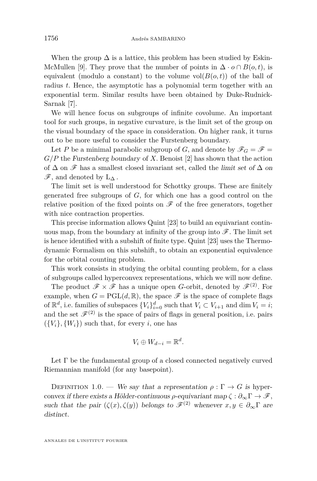When the group  $\Delta$  is a lattice, this problem has been studied by Eskin-McMullen [\[9\]](#page-42-0). They prove that the number of points in  $\Delta \cdot o \cap B(o, t)$ , is equivalent (modulo a constant) to the volume  $vol(B(o, t))$  of the ball of radius *t.* Hence, the asymptotic has a polynomial term together with an exponential term. Similar results have been obtained by Duke-Rudnick-Sarnak [\[7\]](#page-42-0).

We will hence focus on subgroups of infinite covolume. An important tool for such groups, in negative curvature, is the limit set of the group on the visual boundary of the space in consideration. On higher rank, it turns out to be more useful to consider the Furstenberg boundary.

Let *P* be a minimal parabolic subgroup of *G*, and denote by  $\mathscr{F}_G = \mathscr{F}$ *G/P* the Furstenberg boundary of *X.* Benoist [\[2\]](#page-42-0) has shown that the action of  $\Delta$  on  $\mathscr F$  has a smallest closed invariant set, called the limit set of  $\Delta$  on  $\mathscr{F}$ , and denoted by  $L_{\Lambda}$ .

The limit set is well understood for Schottky groups. These are finitely generated free subgroups of *G,* for which one has a good control on the relative position of the fixed points on  $\mathscr F$  of the free generators, together with nice contraction properties.

This precise information allows Quint [\[23\]](#page-43-0) to build an equivariant continuous map, from the boundary at infinity of the group into  $\mathscr{F}$ . The limit set is hence identified with a subshift of finite type. Quint [\[23\]](#page-43-0) uses the Thermodynamic Formalism on this subshift, to obtain an exponential equivalence for the orbital counting problem.

This work consists in studying the orbital counting problem, for a class of subgroups called hyperconvex representations, which we will now define.

The product  $\mathscr{F} \times \mathscr{F}$  has a unique open *G*-orbit, denoted by  $\mathscr{F}^{(2)}$ . For example, when  $G = \text{PGL}(d, \mathbb{R})$ , the space  $\mathscr F$  is the space of complete flags of  $\mathbb{R}^d$ , i.e. families of subspaces  $\{V_i\}_{i=0}^d$  such that  $V_i \subset V_{i+1}$  and dim  $V_i = i$ ; and the set  $\mathscr{F}^{(2)}$  is the space of pairs of flags in general position, i.e. pairs  $({V_i}, {W_i})$  such that, for every *i*, one has

$$
V_i \oplus W_{d-i} = \mathbb{R}^d.
$$

Let  $\Gamma$  be the fundamental group of a closed connected negatively curved Riemannian manifold (for any basepoint).

DEFINITION 1.0. — We say that a representation  $\rho : \Gamma \to G$  is hyperconvex if there exists a Hölder-continuous  $\rho$ -equivariant map  $\zeta : \partial_{\infty} \Gamma \to \mathscr{F}$ , such that the pair  $(\zeta(x), \zeta(y))$  belongs to  $\mathscr{F}^{(2)}$  whenever  $x, y \in \partial_{\infty}\Gamma$  are distinct.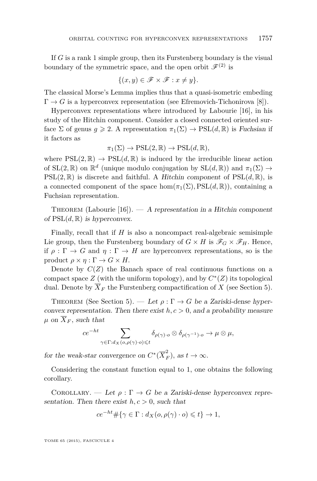If *G* is a rank 1 simple group, then its Furstenberg boundary is the visual boundary of the symmetric space, and the open orbit  $\mathscr{F}^{(2)}$  is

$$
\{(x,y)\in\mathscr{F}\times\mathscr{F}:x\neq y\}.
$$

The classical Morse's Lemma implies thus that a quasi-isometric embeding  $\Gamma \to G$  is a hyperconvex representation (see Efremovich-Tichonirova [\[8\]](#page-42-0)).

Hyperconvex representations where introduced by Labourie [\[16\]](#page-43-0), in his study of the Hitchin component. Consider a closed connected oriented surface  $\Sigma$  of genus  $g \ge 2$ . A representation  $\pi_1(\Sigma) \to \text{PSL}(d,\mathbb{R})$  is Fuchsian if it factors as

$$
\pi_1(\Sigma) \to \mathrm{PSL}(2,\mathbb{R}) \to \mathrm{PSL}(d,\mathbb{R}),
$$

where  $PSL(2,\mathbb{R}) \to PSL(d,\mathbb{R})$  is induced by the irreducible linear action of  $SL(2, \mathbb{R})$  on  $\mathbb{R}^d$  (unique modulo conjugation by  $SL(d, \mathbb{R})$ ) and  $\pi_1(\Sigma) \to$  $PSL(2,\mathbb{R})$  is discrete and faithful. A Hitchin component of  $PSL(d,\mathbb{R})$ , is a connected component of the space  $\hom(\pi_1(\Sigma), \text{PSL}(d, \mathbb{R}))$ , containing a Fuchsian representation.

THEOREM (Labourie  $[16]$ ).  $- A$  representation in a Hitchin component of  $PSL(d, \mathbb{R})$  is hyperconvex.

Finally, recall that if *H* is also a noncompact real-algebraic semisimple Lie group, then the Furstenberg boundary of  $G \times H$  is  $\mathscr{F}_G \times \mathscr{F}_H$ . Hence, if  $\rho : \Gamma \to G$  and  $\eta : \Gamma \to H$  are hyperconvex representations, so is the product  $\rho \times \eta : \Gamma \to G \times H$ .

Denote by  $C(Z)$  the Banach space of real continuous functions on a compact space  $Z$  (with the uniform topology), and by  $C^*(Z)$  its topological dual. Denote by  $\overline{X}_F$  the Furstenberg compactification of X (see Section [5\)](#page-32-0).

THEOREM (See Section [5\)](#page-32-0). — Let  $\rho : \Gamma \to G$  be a Zariski-dense hyperconvex representation. Then there exist  $h, c > 0$ , and a probability measure  $\mu$  on  $\overline{X}_F$ , such that

$$
ce^{-ht} \sum_{\gamma \in \Gamma : d_X(o, \rho(\gamma) \cdot o) \leq t} \delta_{\rho(\gamma) \cdot o} \otimes \delta_{\rho(\gamma^{-1}) \cdot o} \to \mu \otimes \mu,
$$

for the weak-star convergence on  $C^*(\overline{X}_F^2)$ , as  $t \to \infty$ .

Considering the constant function equal to 1, one obtains the following corollary.

COROLLARY. — Let  $\rho : \Gamma \to G$  be a Zariski-dense hyperconvex representation. Then there exist  $h, c > 0$ , such that

$$
ce^{-ht} \# \{ \gamma \in \Gamma : d_X(o, \rho(\gamma) \cdot o) \leq t \} \to 1,
$$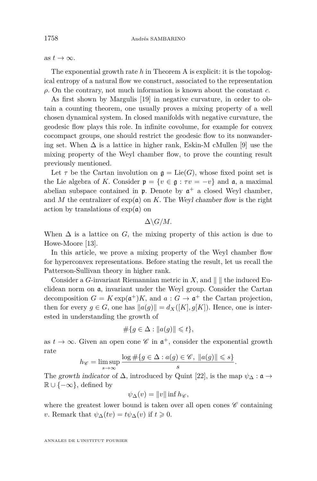as  $t \to \infty$ .

The exponential growth rate *h* in Theorem A is explicit: it is the topological entropy of a natural flow we construct, associated to the representation *ρ.* On the contrary, not much information is known about the constant *c.*

As first shown by Margulis [\[19\]](#page-43-0) in negative curvature, in order to obtain a counting theorem, one usually proves a mixing property of a well chosen dynamical system. In closed manifolds with negative curvature, the geodesic flow plays this role. In infinite covolume, for example for convex cocompact groups, one should restrict the geodesic flow to its nonwandering set. When  $\Delta$  is a lattice in higher rank, Eskin-M cMullen [\[9\]](#page-42-0) use the mixing property of the Weyl chamber flow, to prove the counting result previously mentioned.

Let  $\tau$  be the Cartan involution on  $\mathfrak{g} = \text{Lie}(G)$ , whose fixed point set is the Lie algebra of *K*. Consider  $\mathfrak{p} = \{v \in \mathfrak{g} : \tau v = -v\}$  and  $\mathfrak{a}$ , a maximal abelian subspace contained in  $\mathfrak p$ . Denote by  $\mathfrak a^+$  a closed Weyl chamber, and *M* the centralizer of  $exp(a)$  on *K*. The Weyl chamber flow is the right action by translations of  $\exp(\mathfrak{a})$  on

 $\Delta \backslash G/M$ .

When  $\Delta$  is a lattice on *G*, the mixing property of this action is due to Howe-Moore [\[13\]](#page-42-0).

In this article, we prove a mixing property of the Weyl chamber flow for hyperconvex representations. Before stating the result, let us recall the Patterson-Sullivan theory in higher rank.

Consider a *G*-invariant Riemannian metric in *X*, and  $\| \cdot \|$  the induced Euclidean norm on a*,* invariant under the Weyl group. Consider the Cartan decomposition  $G = K \exp(\mathfrak{a}^+)K$ , and  $a : G \to \mathfrak{a}^+$  the Cartan projection, then for every  $g \in G$ , one has  $||a(g)|| = d_X([K], g[K])$ . Hence, one is interested in understanding the growth of

$$
\#\{g \in \Delta : \|a(g)\| \leq t\},\
$$

as  $t \to \infty$ . Given an open cone  $\mathscr{C}$  in  $\mathfrak{a}^+$ , consider the exponential growth rate

$$
h_{\mathscr{C}} = \limsup_{s \to \infty} \frac{\log \#\{g \in \Delta : a(g) \in \mathscr{C}, \ \|a(g)\| \leq s\}}{s}.
$$

The growth indicator of  $\Delta$ , introduced by Quint [\[22\]](#page-43-0), is the map  $\psi_{\Delta} : \mathfrak{a} \to$  $\mathbb{R} \cup \{-\infty\}$ , defined by

$$
\psi_{\Delta}(v) = ||v|| \inf h_{\mathscr{C}},
$$

where the greatest lower bound is taken over all open cones  $\mathscr C$  containing *v*. Remark that  $\psi_{\Delta}(tv) = t\psi_{\Delta}(v)$  if  $t \geq 0$ .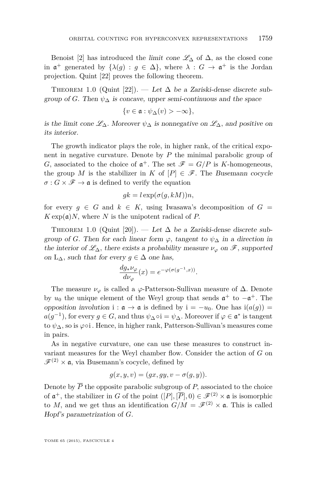<span id="page-5-0"></span>Benoist [\[2\]](#page-42-0) has introduced the *limit* cone  $\mathscr{L}_{\Delta}$  of  $\Delta$ , as the closed cone in  $\mathfrak{a}^+$  generated by  $\{\lambda(g) : g \in \Delta\}$ , where  $\lambda : G \to \mathfrak{a}^+$  is the Jordan projection. Quint [\[22\]](#page-43-0) proves the following theorem.

THEOREM 1.0 (Quint [\[22\]](#page-43-0)). — Let  $\Delta$  be a Zariski-dense discrete subgroup of *G*. Then  $\psi_{\Delta}$  is concave, upper semi-continuous and the space

$$
\{v\in \mathfrak{a} : \psi_\Delta(v) > -\infty\},\
$$

is the limit cone  $\mathscr{L}_{\Lambda}$ . Moreover  $\psi_{\Lambda}$  is nonnegative on  $\mathscr{L}_{\Lambda}$ , and positive on its interior.

The growth indicator plays the role, in higher rank, of the critical exponent in negative curvature. Denote by *P* the minimal parabolic group of *G*, associated to the choice of  $\mathfrak{a}^+$ . The set  $\mathscr{F} = G/P$  is *K*-homogeneous, the group *M* is the stabilizer in *K* of  $[P] \in \mathscr{F}$ . The Busemann cocycle  $\sigma$ :  $G \times \mathscr{F} \to \mathfrak{a}$  is defined to verify the equation

$$
gk = l \exp(\sigma(g, kM))n,
$$

for every  $g \in G$  and  $k \in K$ , using Iwasawa's decomposition of  $G =$  $K \exp(\mathfrak{a})N$ , where *N* is the unipotent radical of *P*.

THEOREM 1.0 (Quint [\[20\]](#page-43-0)). — Let  $\Delta$  be a Zariski-dense discrete subgroup of *G*. Then for each linear form  $\varphi$ , tangent to  $\psi_{\Delta}$  in a direction in the interior of  $\mathscr{L}_{\Delta}$ , there exists a probability measure  $\nu_{\varphi}$  on  $\mathscr{F}$ , supported on  $L_{\Delta}$ *, such that for every*  $g \in \Delta$  *one has,* 

$$
\frac{dg_*\nu_\varphi}{d\nu_\varphi}(x) = e^{-\varphi(\sigma(g^{-1},x))}.
$$

The measure  $\nu_{\varphi}$  is called a  $\varphi$ -Patterson-Sullivan measure of  $\Delta$ *.* Denote by  $u_0$  the unique element of the Weyl group that sends  $\mathfrak{a}^+$  to  $-\mathfrak{a}^+$ . The opposition involution i :  $\mathfrak{a} \to \mathfrak{a}$  is defined by  $i = -u_0$ . One has  $i(a(g)) =$  $a(g^{-1})$ , for every  $g \in G$ , and thus  $\psi_{\Delta} \circ i = \psi_{\Delta}$ . Moreover if  $\varphi \in \mathfrak{a}^*$  is tangent to *ψ*∆*,* so is *ϕ*◦i *.* Hence, in higher rank, Patterson-Sullivan's measures come in pairs.

As in negative curvature, one can use these measures to construct invariant measures for the Weyl chamber flow. Consider the action of *G* on  $\mathscr{F}^{(2)} \times \mathfrak{a}$ , via Busemann's cocycle, defined by

$$
g(x, y, v) = (gx, gy, v - \sigma(g, y)).
$$

Denote by  $\overline{P}$  the opposite parabolic subgroup of  $P$ , associated to the choice of  $\mathfrak{a}^+$ , the stabilizer in *G* of the point  $([P], [\overline{P}], 0) \in \mathscr{F}^{(2)} \times \mathfrak{a}$  is isomorphic to *M*, and we get thus an identification  $G/M = \mathscr{F}^{(2)} \times \mathfrak{a}$ . This is called Hopf's parametrization of *G.*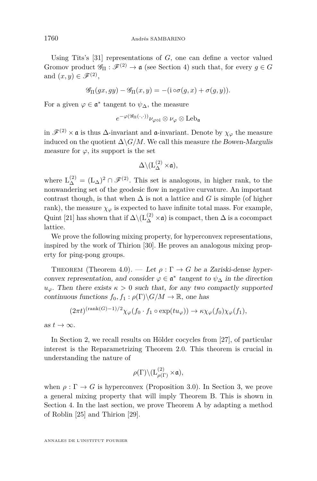Using Tits's [\[31\]](#page-43-0) representations of *G,* one can define a vector valued Gromov product  $\mathscr{G}_{\Pi} : \mathscr{F}^{(2)} \to \mathfrak{a}$  (see Section [4\)](#page-22-0) such that, for every  $g \in G$ and  $(x, y) \in \mathscr{F}^{(2)}$ ,

$$
\mathscr{G}_{\Pi}(gx, gy) - \mathscr{G}_{\Pi}(x, y) = -(\mathrm{i} \circ \sigma(g, x) + \sigma(g, y)).
$$

For a given  $\varphi \in \mathfrak{a}^*$  tangent to  $\psi_{\Delta}$ , the measure

$$
e^{-\varphi(\mathscr{G}_{\Pi}(\cdot,\cdot))}\nu_{\varphi\circ i}\otimes\nu_\varphi\otimes\mathrm{Leb}_\mathfrak{a}
$$

in  $\mathscr{F}^{(2)}\times\mathfrak{a}$  is thus  $\Delta$ -invariant and  $\mathfrak{a}$ -invariant. Denote by  $\chi_{\varphi}$  the measure induced on the quotient  $\Delta \backslash G/M$ . We call this measure the Bowen-Margulis measure for  $\varphi$ , its support is the set

$$
\Delta\backslash(\mathrm{L}_{\Delta}^{(2)}\times\mathfrak{a}),
$$

where  $L_{\Delta}^{(2)} = (L_{\Delta})^2 \cap \mathscr{F}^{(2)}$ . This set is analogous, in higher rank, to the nonwandering set of the geodesic flow in negative curvature. An important contrast though, is that when  $\Delta$  is not a lattice and *G* is simple (of higher rank), the measure  $\chi_{\varphi}$  is expected to have infinite total mass. For example, Quint [\[21\]](#page-43-0) has shown that if  $\Delta\backslash(L_{\Delta}^{(2)}\times\mathfrak{a})$  is compact, then  $\Delta$  is a cocompact lattice.

We prove the following mixing property, for hyperconvex representations, inspired by the work of Thirion [\[30\]](#page-43-0). He proves an analogous mixing property for ping-pong groups.

THEOREM (Theorem [4.0\)](#page-29-0). — Let  $\rho : \Gamma \to G$  be a Zariski-dense hyperconvex representation, and consider  $\varphi \in \mathfrak{a}^*$  tangent to  $\psi_{\Delta}$  in the direction  $u_{\varphi}$ . Then there exists  $\kappa > 0$  such that, for any two compactly supported continuous functions  $f_0, f_1 : \rho(\Gamma) \backslash G/M \to \mathbb{R}$ , one has

$$
(2\pi t)^{(\text{rank}(G)-1)/2}\chi_{\varphi}(f_0 \cdot f_1 \circ \exp(tu_{\varphi})) \to \kappa \chi_{\varphi}(f_0)\chi_{\varphi}(f_1),
$$

as  $t \to \infty$ .

In Section [2,](#page-7-0) we recall results on Hölder cocycles from [\[27\]](#page-43-0), of particular interest is the Reparametrizing Theorem [2.0.](#page-13-0) This theorem is crucial in understanding the nature of

$$
\rho(\Gamma) \backslash ({\rm L}^{(2)}_{\rho(\Gamma)}\times\mathfrak{a}),
$$

when  $\rho : \Gamma \to G$  is hyperconvex (Proposition [3.0\)](#page-16-0). In Section [3,](#page-14-0) we prove a general mixing property that will imply Theorem B. This is shown in Section [4.](#page-22-0) In the last section, we prove Theorem A by adapting a method of Roblin [\[25\]](#page-43-0) and Thirion [\[29\]](#page-43-0).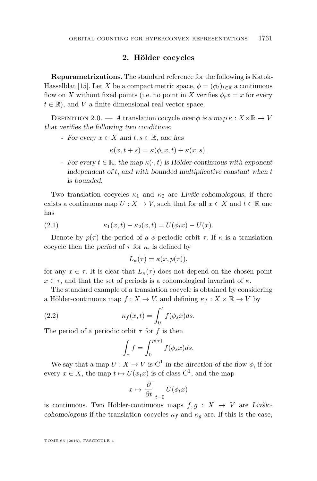#### **2. Hölder cocycles**

<span id="page-7-0"></span>**Reparametrizations.** The standard reference for the following is Katok-Hasselblat [\[15\]](#page-42-0). Let *X* be a compact metric space,  $\phi = (\phi_t)_{t \in \mathbb{R}}$  a continuous flow on *X* without fixed points (i.e. no point in *X* verifies  $\phi_t x = x$  for every  $t \in \mathbb{R}$ , and *V* a finite dimensional real vector space.

DEFINITION 2.0. — A translation cocycle over  $\phi$  is a map  $\kappa : X \times \mathbb{R} \to V$ that verifies the following two conditions:

- For every  $x \in X$  and  $t, s \in \mathbb{R}$ , one has

$$
\kappa(x, t+s) = \kappa(\phi_s x, t) + \kappa(x, s).
$$

- For every  $t \in \mathbb{R}$ , the map  $\kappa(\cdot, t)$  is Hölder-continuous with exponent independent of *t,* and with bounded multiplicative constant when *t* is bounded.

Two translation cocycles  $\kappa_1$  and  $\kappa_2$  are Livšic-cohomologous, if there exists a continuous map  $U: X \to V$ , such that for all  $x \in X$  and  $t \in \mathbb{R}$  one has

(2.1) 
$$
\kappa_1(x,t) - \kappa_2(x,t) = U(\phi_t x) - U(x).
$$

Denote by  $p(\tau)$  the period of a  $\phi$ -periodic orbit  $\tau$ . If  $\kappa$  is a translation cocycle then the *period* of  $\tau$  for  $\kappa$ , is defined by

$$
L_{\kappa}(\tau) = \kappa(x, p(\tau)),
$$

for any  $x \in \tau$ . It is clear that  $L_{\kappa}(\tau)$  does not depend on the chosen point  $x \in \tau$ , and that the set of periods is a cohomological invariant of  $\kappa$ .

The standard example of a translation cocycle is obtained by considering a Hölder-continuous map  $f: X \to V$ , and defining  $\kappa_f: X \times \mathbb{R} \to V$  by

(2.2) 
$$
\kappa_f(x,t) = \int_0^t f(\phi_s x)ds.
$$

The period of a periodic orbit  $\tau$  for  $f$  is then

$$
\int_{\tau} f = \int_0^{p(\tau)} f(\phi_s x) ds.
$$

We say that a map  $U: X \to V$  is  $C^1$  in the direction of the flow  $\phi$ , if for every  $x \in X$ , the map  $t \mapsto U(\phi_t x)$  is of class  $C^1$ , and the map

$$
x \mapsto \left. \frac{\partial}{\partial t} \right|_{t=0} U(\phi_t x)
$$

is continuous. Two Hölder-continuous maps  $f, g : X \rightarrow V$  are Livšiccohomologous if the translation cocycles  $\kappa_f$  and  $\kappa_g$  are. If this is the case,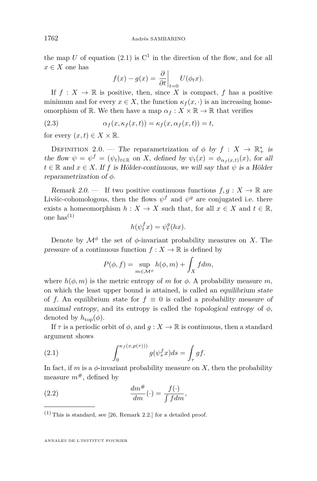the map U of equation  $(2.1)$  is  $C<sup>1</sup>$  in the direction of the flow, and for all  $x \in X$  one has

$$
f(x) - g(x) = \frac{\partial}{\partial t}\bigg|_{t=0} U(\phi_t x).
$$

If  $f: X \to \mathbb{R}$  is positive, then, since  $\overline{X}$  is compact,  $f$  has a positive minimum and for every  $x \in X$ , the function  $\kappa_f(x, \cdot)$  is an increasing homeomorphism of R. We then have a map  $\alpha_f : X \times \mathbb{R} \to \mathbb{R}$  that verifies

(2.3) 
$$
\alpha_f(x, \kappa_f(x, t)) = \kappa_f(x, \alpha_f(x, t)) = t,
$$

for every  $(x, t) \in X \times \mathbb{R}$ .

DEFINITION 2.0. — The reparametrization of  $\phi$  by  $f: X \to \mathbb{R}_+^*$  is the flow  $\psi = \psi^f = (\psi_t)_{t \in \mathbb{R}}$  on *X*, defined by  $\psi_t(x) = \phi_{\alpha_f(x,t)}(x)$ , for all  $t \in \mathbb{R}$  and  $x \in X$ . If f is Hölder-continuous, we will say that  $\psi$  is a Hölder reparametrization of *φ.*

Remark 2.0. — If two positive continuous functions  $f, g: X \to \mathbb{R}$  are Livšic-cohomologous, then the flows  $\psi^f$  and  $\psi^g$  are conjugated i.e. there exists a homeomorphism  $h: X \to X$  such that, for all  $x \in X$  and  $t \in \mathbb{R}$ , one has $^{(1)}$ 

$$
h(\psi_t^f x) = \psi_t^g(hx).
$$

Denote by  $\mathcal{M}^{\phi}$  the set of  $\phi$ -invariant probability measures on *X*. The pressure of a continuous function  $f: X \to \mathbb{R}$  is defined by

$$
P(\phi, f) = \sup_{m \in \mathcal{M}^{\phi}} h(\phi, m) + \int_{X} f dm,
$$

where  $h(\phi, m)$  is the metric entropy of *m* for  $\phi$ . A probability measure *m*, on which the least upper bound is attained, is called an equilibrium state of *f*. An equilibrium state for  $f \equiv 0$  is called a probability measure of maximal entropy, and its entropy is called the topological entropy of  $\phi$ , denoted by  $h_{\text{top}}(\phi)$ .

If  $\tau$  is a periodic orbit of  $\phi$ , and  $q: X \to \mathbb{R}$  is continuous, then a standard argument shows

(2.1) 
$$
\int_0^{\kappa_f(x,p(\tau)))} g(\psi_s^f x) ds = \int_\tau gf.
$$

In fact, if *m* is a  $\phi$ -invariant probability measure on *X*, then the probability measure  $m^{\#}$ , defined by

(2.2) 
$$
\frac{dm^{\#}}{dm}(\cdot) = \frac{f(\cdot)}{\int f dm},
$$

 $(1)$  This is standard, see [\[26,](#page-43-0) Remark 2.2.] for a detailed proof.

<span id="page-8-0"></span>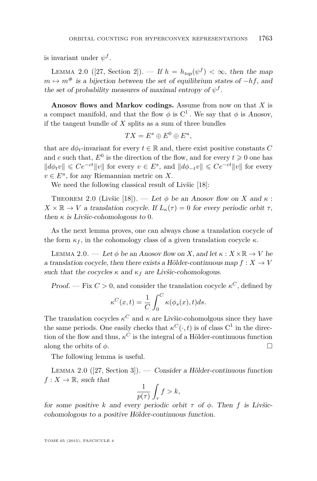<span id="page-9-0"></span>is invariant under  $\psi^f$ .

LEMMA 2.0 ([\[27,](#page-43-0) Section 2]). — If  $h = h_{top}(\psi^f) < \infty$ , then the map  $m \mapsto m^{\#}$  is a bijection between the set of equilibrium states of  $-hf$ , and the set of probability measures of maximal entropy of  $\psi^f$ .

**Anosov flows and Markov codings.** Assume from now on that *X* is a compact manifold, and that the flow  $\phi$  is  $C^1$ . We say that  $\phi$  is Anosov, if the tangent bundle of *X* splits as a sum of three bundles

$$
TX = E^s \oplus E^0 \oplus E^u,
$$

that are  $d\phi_t$ -invariant for every  $t \in \mathbb{R}$  and, there exist positive constants *C* and *c* such that,  $E^0$  is the direction of the flow, and for every  $t \geq 0$  one has  $||d\phi_t v|| \le Ce^{-ct} ||v||$  for every  $v \in E^s$ , and  $||d\phi_{-t}v|| \le Ce^{-ct} ||v||$  for every  $v \in E^u$ , for any Riemannian metric on *X*.

We need the following classical result of Livšic [\[18\]](#page-43-0):

THEOREM 2.0 (Livšic [\[18\]](#page-43-0)). — Let  $\phi$  be an Anosov flow on *X* and  $\kappa$ :  $X \times \mathbb{R} \to V$  a translation cocycle. If  $L_{\kappa}(\tau) = 0$  for every periodic orbit  $\tau$ , then  $\kappa$  is Livšic-cohomologous to 0.

As the next lemma proves, one can always chose a translation cocycle of the form  $\kappa_f$ , in the cohomology class of a given translation cocycle  $\kappa$ .

LEMMA 2.0. — Let  $\phi$  be an Anosov flow on *X*, and let  $\kappa : X \times \mathbb{R} \to V$  be a translation cocycle, then there exists a Hölder-continuous map  $f: X \to V$ such that the cocycles  $\kappa$  and  $\kappa_f$  are Livšic-cohomologous.

Proof. — Fix  $C > 0$ , and consider the translation cocycle  $\kappa^C$ , defined by

$$
\kappa^{C}(x,t) = \frac{1}{C} \int_{0}^{C} \kappa(\phi_{s}(x), t) ds.
$$

The translation cocycles  $\kappa^C$  and  $\kappa$  are Livšic-cohomolgous since they have the same periods. One easily checks that  $\kappa^C(\cdot, t)$  is of class  $C^1$  in the direction of the flow and thus,  $\kappa^C$  is the integral of a Hölder-continuous function along the orbits of  $\phi$ .

The following lemma is useful.

LEMMA 2.0  $(27, Section 3)$ . — Consider a Hölder-continuous function  $f: X \to \mathbb{R}$ *, such that* 

$$
\frac{1}{p(\tau)}\int_{\tau}f > k,
$$

for some positive *k* and every periodic orbit  $\tau$  of  $\phi$ . Then  $f$  is Livšiccohomologous to a positive Hölder-continuous function.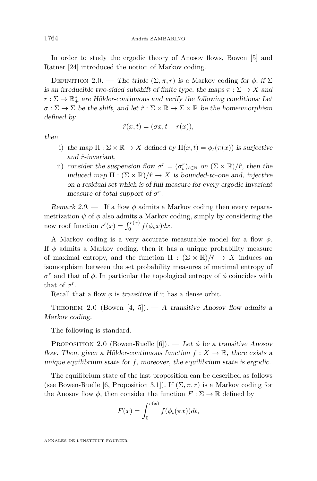<span id="page-10-0"></span>In order to study the ergodic theory of Anosov flows, Bowen [\[5\]](#page-42-0) and Ratner [\[24\]](#page-43-0) introduced the notion of Markov coding.

DEFINITION 2.0. — The triple  $(\Sigma, \pi, r)$  is a Markov coding for  $\phi$ , if  $\Sigma$ is an irreducible two-sided subshift of finite type, the maps  $\pi : \Sigma \to X$  and  $r : \Sigma \to \mathbb{R}_+^*$  are Hölder-continuous and verify the following conditions: Let  $\sigma : \Sigma \to \Sigma$  be the shift, and let  $\hat{r} : \Sigma \times \mathbb{R} \to \Sigma \times \mathbb{R}$  be the homeomorphism defined by

$$
\hat{r}(x,t) = (\sigma x, t - r(x)),
$$

then

- i) the map  $\Pi : \Sigma \times \mathbb{R} \to X$  defined by  $\Pi(x, t) = \phi_t(\pi(x))$  is surjective and *r*ˆ-invariant,
- ii) consider the suspension flow  $\sigma^r = (\sigma_t^r)_{t \in \mathbb{R}}$  on  $(\Sigma \times \mathbb{R})/\hat{r}$ , then the induced map  $\Pi : (\Sigma \times \mathbb{R})/\hat{r} \to X$  is bounded-to-one and, injective on a residual set which is of full measure for every ergodic invariant measure of total support of  $\sigma^r$ .

Remark 2.0. — If a flow *φ* admits a Markov coding then every reparametrization  $\psi$  of  $\phi$  also admits a Markov coding, simply by considering the new roof function  $r'(x) = \int_0^{r(x)} f(\phi_s x) dx$ .

A Markov coding is a very accurate measurable model for a flow *φ.* If  $\phi$  admits a Markov coding, then it has a unique probability measure of maximal entropy, and the function  $\Pi : (\Sigma \times \mathbb{R})/f \to X$  induces an isomorphism between the set probability measures of maximal entropy of *σ*<sup>*r*</sup> and that of *φ*. In particular the topological entropy of *φ* coincides with that of  $\sigma^r$ .

Recall that a flow  $\phi$  is transitive if it has a dense orbit.

THEOREM 2.0 (Bowen [\[4,](#page-42-0) [5\]](#page-42-0)). — A transitive Anosov flow admits a Markov coding.

The following is standard.

PROPOSITION 2.0 (Bowen-Ruelle [\[6\]](#page-42-0)). — Let  $\phi$  be a transitive Anosov flow. Then, given a Hölder-continuous function  $f: X \to \mathbb{R}$ , there exists a unique equilibrium state for  $f$ , moreover, the equilibrium state is ergodic.

The equilibrium state of the last proposition can be described as follows (see Bowen-Ruelle [\[6,](#page-42-0) Proposition 3.1]). If  $(\Sigma, \pi, r)$  is a Markov coding for the Anosov flow  $\phi$ , then consider the function  $F : \Sigma \to \mathbb{R}$  defined by

$$
F(x) = \int_0^{r(x)} f(\phi_t(\pi x))dt,
$$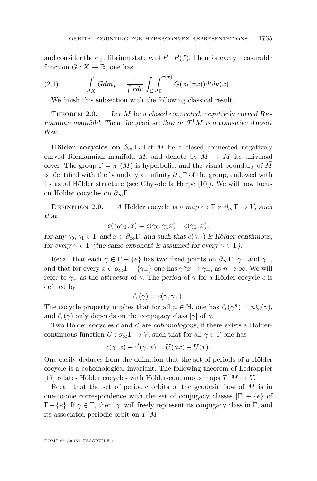<span id="page-11-0"></span>and consider the equilibrium state  $\nu$ , of  $F-P(f)$ . Then for every measurable function  $G: X \to \mathbb{R}$ , one has

(2.1) 
$$
\int_X G dm_f = \frac{1}{\int r d\nu} \int_{\Sigma} \int_0^{r(x)} G(\phi_t(\pi x)) dt d\nu(x).
$$

We finish this subsection with the following classical result.

THEOREM 2.0. — Let *M* be a closed connected, negatively curved Riemannian manifold. Then the geodesic flow on  $T^1M$  is a transitive Anosov flow.

**Hölder cocycles on**  $\partial_{\infty} \Gamma$ . Let *M* be a closed connected negatively curved Riemannian manifold *M*, and denote by  $\overline{M} \rightarrow \overline{M}$  its universal cover. The group  $\Gamma = \pi_1(M)$  is hyperbolic, and the visual boundary of M is identified with the boundary at infinity  $\partial_{\infty} \Gamma$  of the group, endowed with its usual Hölder structure (see Ghys-de la Harpe [\[10\]](#page-42-0)). We will now focus on Hölder cocycles on *∂*∞Γ*.*

DEFINITION 2.0. — A Hölder cocycle is a map  $c : \Gamma \times \partial_{\infty} \Gamma \to V$ , such that

$$
c(\gamma_0\gamma_1, x) = c(\gamma_0, \gamma_1 x) + c(\gamma_1, x),
$$

for any  $\gamma_0, \gamma_1 \in \Gamma$  and  $x \in \partial_\infty \Gamma$ , and such that  $c(\gamma, \cdot)$  is Hölder-continuous, for every  $\gamma \in \Gamma$  (the same exponent is assumed for every  $\gamma \in \Gamma$ ).

Recall that each  $\gamma \in \Gamma - \{e\}$  has two fixed points on  $\partial_{\infty} \Gamma$ ,  $\gamma_+$  and  $\gamma_-,$ and that for every  $x \in \partial_{\infty} \Gamma - \{\gamma_{-}\}\$  one has  $\gamma^{n} x \to \gamma_{+}$ , as  $n \to \infty$ . We will refer to  $\gamma_+$  as the *attractor* of  $\gamma$ . The period of  $\gamma$  for a Hölder cocycle *c* is defined by

$$
\ell_c(\gamma) = c(\gamma, \gamma_+).
$$

The cocycle property implies that for all  $n \in \mathbb{N}$ , one has  $\ell_c(\gamma^n) = n\ell_c(\gamma)$ , and  $\ell_c(\gamma)$  only depends on the conjugacy class [ $\gamma$ ] of  $\gamma$ .

Two Hölder cocycles  $c$  and  $c'$  are cohomologous, if there exists a Höldercontinuous function  $U : \partial_{\infty} \Gamma \to V$ , such that for all  $\gamma \in \Gamma$  one has

$$
c(\gamma, x) - c'(\gamma, x) = U(\gamma x) - U(x).
$$

One easily deduces from the definition that the set of periods of a Hölder cocycle is a cohomological invariant. The following theorem of Ledrappier [\[17\]](#page-43-0) relates Hölder cocycles with Hölder-continuous maps  $T^1M \to V$ .

Recall that the set of periodic orbits of the geodesic flow of *M* is in one-to-one correspondence with the set of conjugacy classes  $[\Gamma] - \{e\}$  of  $Γ - {e}$ *.* If  $γ ∈ Γ$ *,* then  $[γ]$  will freely represent its conjugacy class in Γ*,* and its associated periodic orbit on *T* <sup>1</sup>*M.*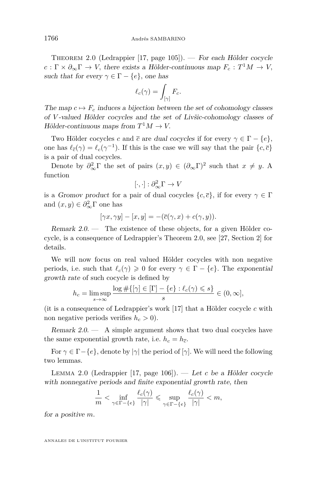<span id="page-12-0"></span>Theorem 2.0 (Ledrappier [\[17,](#page-43-0) page 105]). — For each Hölder cocycle  $c: \Gamma \times \partial_{\infty} \Gamma \to V$ , there exists a Hölder-continuous map  $F_c: T^1M \to V$ , such that for every  $\gamma \in \Gamma - \{e\}$ , one has

$$
\ell_c(\gamma) = \int_{[\gamma]} F_c.
$$

The map  $c \mapsto F_c$  induces a bijection between the set of cohomology classes of *V* -valued Hölder cocycles and the set of Livšic-cohomology classes of  $Hölder-continuous maps from  $T^1M \to V$ .$ 

Two Hölder cocycles *c* and  $\bar{c}$  are dual cocycles if for every  $\gamma \in \Gamma - \{e\}$ , one has  $\ell_{\bar{c}}(\gamma) = \ell_c(\gamma^{-1})$ *.* If this is the case we will say that the pair  $\{c, \bar{c}\}$ is a pair of dual cocycles.

Denote by  $\partial_{\infty}^2 \Gamma$  the set of pairs  $(x, y) \in (\partial_{\infty} \Gamma)^2$  such that  $x \neq y$ . A function

$$
[\cdot,\cdot]:\partial_{\infty}^2\Gamma\to V
$$

is a *Gromov product* for a pair of dual cocycles  $\{c, \overline{c}\}\$ , if for every  $\gamma \in \Gamma$ and  $(x, y) \in \partial_{\infty}^2 \Gamma$  one has

$$
[\gamma x, \gamma y] - [x, y] = -(\overline{c}(\gamma, x) + c(\gamma, y)).
$$

Remark  $2.0$  — The existence of these objects, for a given Hölder cocycle, is a consequence of Ledrappier's Theorem 2.0, see [\[27,](#page-43-0) Section 2] for details.

We will now focus on real valued Hölder cocycles with non negative periods, i.e. such that  $\ell_c(\gamma) \geq 0$  for every  $\gamma \in \Gamma - \{e\}$ . The exponential growth rate of such cocycle is defined by

$$
h_c = \limsup_{s \to \infty} \frac{\log \#\{[\gamma] \in [\Gamma] - \{e\} : \ell_c(\gamma) \leqslant s\}}{s} \in (0, \infty],
$$

(it is a consequence of Ledrappier's work [\[17\]](#page-43-0) that a Hölder cocycle *c* with non negative periods verifies  $h_c > 0$ .

Remark  $2.0$  — A simple argument shows that two dual cocycles have the same exponential growth rate, i.e.  $h_c = h_{\overline{c}}$ .

For  $\gamma \in \Gamma - \{e\}$ , denote by  $|\gamma|$  the period of  $[\gamma]$ . We will need the following two lemmas.

Lemma 2.0 (Ledrappier [\[17,](#page-43-0) page 106]). — Let *c* be a Hölder cocycle with nonnegative periods and finite exponential growth rate, then

$$
\frac{1}{m} < \inf_{\gamma \in \Gamma - \{e\}} \frac{\ell_c(\gamma)}{|\gamma|} \leqslant \sup_{\gamma \in \Gamma - \{e\}} \frac{\ell_c(\gamma)}{|\gamma|} < m,
$$

for a positive *m.*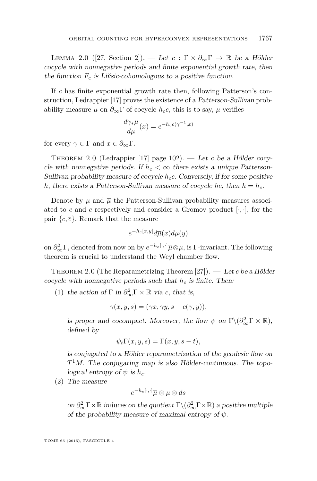<span id="page-13-0"></span>LEMMA 2.0 ([\[27,](#page-43-0) Section 2]). — Let  $c : \Gamma \times \partial_{\infty} \Gamma \to \mathbb{R}$  be a Hölder cocycle with nonnegative periods and finite exponential growth rate, then the function  $F_c$  is Livsic-cohomologous to a positive function.

If *c* has finite exponential growth rate then, following Patterson's construction, Ledrappier [\[17\]](#page-43-0) proves the existence of a Patterson-Sullivan probability measure  $\mu$  on  $\partial_{\infty} \Gamma$  of cocycle  $h_c c$ , this is to say,  $\mu$  verifies

$$
\frac{d\gamma_*\mu}{d\mu}(x) = e^{-h_c c(\gamma^{-1},x)}
$$

for every  $\gamma \in \Gamma$  and  $x \in \partial_{\infty} \Gamma$ .

Theorem 2.0 (Ledrappier [\[17\]](#page-43-0) page 102). — Let *c* be a Hölder cocycle with nonnegative periods. If  $h_c < \infty$  there exists a unique Patterson-Sullivan probability measure of cocycle  $h_c c$ . Conversely, if for some positive *h,* there exists a Patterson-Sullivan measure of cocycle *hc,* then  $h = h_c$ .

Denote by  $\mu$  and  $\overline{\mu}$  the Patterson-Sullivan probability measures associated to c and  $\bar{c}$  respectively and consider a Gromov product  $[\cdot, \cdot]$ , for the pair  $\{c, \overline{c}\}\$ . Remark that the measure

$$
e^{-h_c[x,y]}d\overline{\mu}(x)d\mu(y)
$$

on  $\partial_{\infty}^2 \Gamma$ , denoted from now on by  $e^{-h_c[\cdot,\cdot]} \overline{\mu} \otimes \mu$ , is  $\Gamma$ -invariant. The following theorem is crucial to understand the Weyl chamber flow.

Theorem 2.0 (The Reparametrizing Theorem [\[27\]](#page-43-0)). — Let *c* be a Hölder cocycle with nonnegative periods such that *h<sup>c</sup>* is finite. Then:

(1) the action of  $\Gamma$  in  $\partial_{\infty}^2 \Gamma \times \mathbb{R}$  via *c*, that is,

$$
\gamma(x,y,s)=(\gamma x,\gamma y,s-c(\gamma,y)),
$$

is proper and cocompact. Moreover, the flow  $\psi$  on  $\Gamma \backslash (\partial_{\infty}^2 \Gamma \times \mathbb{R})$ , defined by

$$
\psi_t \Gamma(x, y, s) = \Gamma(x, y, s - t),
$$

is conjugated to a Hölder reparametrization of the geodesic flow on  $T<sup>1</sup>M$ . The conjugating map is also Hölder-continuous. The topological entropy of  $\psi$  is  $h_c$ .

(2) The measure

$$
e^{-h_c[\cdot,\cdot]}\overline{\mu}\otimes \mu \otimes ds
$$

on  $\partial_{\infty}^2 \Gamma \times \mathbb{R}$  induces on the quotient  $\Gamma \backslash (\partial_{\infty}^2 \Gamma \times \mathbb{R})$  a positive multiple of the probability measure of maximal entropy of  $\psi$ .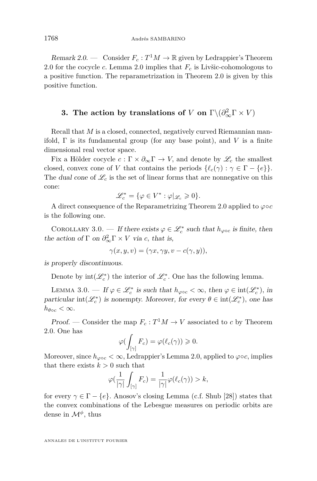<span id="page-14-0"></span>Remark 2.0. — Consider  $F_c: T^1M \to \mathbb{R}$  given by Ledrappier's Theorem [2.0](#page-12-0) for the cocycle *c.* Lemma [2.0](#page-13-0) implies that *F<sup>c</sup>* is Livšic-cohomologous to a positive function. The reparametrization in Theorem [2.0](#page-13-0) is given by this positive function.

### **3.** The action by translations of *V* on  $\Gamma \backslash (\partial_{\infty}^2 \Gamma \times V)$

Recall that *M* is a closed, connected, negatively curved Riemannian manifold,  $\Gamma$  is its fundamental group (for any base point), and  $V$  is a finite dimensional real vector space.

Fix a Hölder cocycle  $c : \Gamma \times \partial_{\infty} \Gamma \to V$ , and denote by  $\mathscr{L}_c$  the smallest closed, convex cone of *V* that contains the periods  $\{\ell_c(\gamma) : \gamma \in \Gamma - \{e\}\}.$ The dual cone of  $\mathcal{L}_c$  is the set of linear forms that are nonnegative on this cone:

$$
\mathscr{L}_c^*=\{\varphi\in V^*: \varphi|_{\mathscr{L}_c}\geqslant 0\}.
$$

A direct consequence of the Reparametrizing Theorem [2.0](#page-13-0) applied to  $\varphi \circ c$ is the following one.

COROLLARY 3.0. — If there exists  $\varphi \in \mathcal{L}_c^*$  such that  $h_{\varphi \circ c}$  is finite, then the action of  $\Gamma$  on  $\partial_{\infty}^2 \Gamma \times V$  via *c*, that is,

$$
\gamma(x, y, v) = (\gamma x, \gamma y, v - c(\gamma, y)),
$$

is properly discontinuous.

Denote by  $int(\mathscr{L}_c^*)$  the interior of  $\mathscr{L}_c^*$ . One has the following lemma.

LEMMA 3.0. — If  $\varphi \in \mathcal{L}_c^*$  is such that  $h_{\varphi \circ c} < \infty$ , then  $\varphi \in \text{int}(\mathcal{L}_c^*)$ , in particular  $int(\mathcal{L}_c^*)$  is nonempty. Moreover, for every  $\theta \in int(\mathcal{L}_c^*)$ , one has  $h_{\theta\circ c} < \infty$ .

*Proof.* — Consider the map  $F_c: T^1M \to V$  associated to *c* by Theorem [2.0.](#page-12-0) One has

$$
\varphi(\int_{[\gamma]} F_c) = \varphi(\ell_c(\gamma)) \geq 0.
$$

Moreover, since  $h_{\varphi \circ c} < \infty$ , Ledrappier's Lemma [2.0,](#page-12-0) applied to  $\varphi \circ c$ , implies that there exists  $k > 0$  such that

$$
\varphi(\frac{1}{|\gamma|}\int_{[\gamma]}F_c)=\frac{1}{|\gamma|}\varphi(\ell_c(\gamma))>k,
$$

for every  $\gamma \in \Gamma - \{e\}$ . Anosov's closing Lemma (c.f. Shub [\[28\]](#page-43-0)) states that the convex combinations of the Lebesgue measures on periodic orbits are dense in M*<sup>φ</sup> ,* thus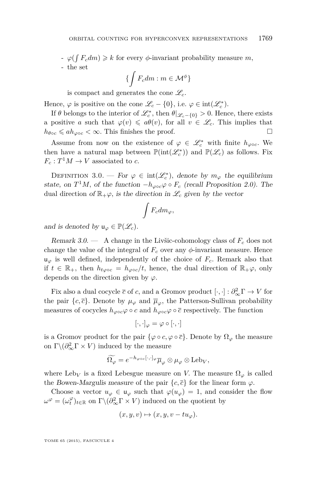<span id="page-15-0"></span> $\varphi(f F_c dm) \geq k$  for every  $\phi$ -invariant probability measure *m*,

- the set

$$
\{\int F_c dm : m \in \mathcal{M}^{\phi}\}\
$$

is compact and generates the cone  $\mathscr{L}_c$ .

Hence,  $\varphi$  is positive on the cone  $\mathscr{L}_c - \{0\}$ , i.e.  $\varphi \in \text{int}(\mathscr{L}_c^*)$ .

If  $\theta$  belongs to the interior of  $\mathscr{L}_{c}^{*}$ , then  $\theta|_{\mathscr{L}_{c}-\{0\}} > 0$ . Hence, there exists a positive *a* such that  $\varphi(v) \leq a\theta(v)$ , for all  $v \in \mathcal{L}_c$ . This implies that  $h_{\theta \circ c} \leqslant ah_{\varphi \circ c} < \infty$ . This finishes the proof.

Assume from now on the existence of  $\varphi \in \mathcal{L}_c^*$  with finite  $h_{\varphi \circ c}$ . We then have a natural map between  $\mathbb{P}(\text{int}(\mathcal{L}_c^*))$  and  $\mathbb{P}(\mathcal{L}_c)$  as follows. Fix  $F_c: T^1M \to V$  associated to *c*.

DEFINITION 3.0. — For  $\varphi \in int(\mathscr{L}_c^*)$ , denote by  $m_\varphi$  the equilibrium state, on  $T^1M$ , of the function  $-h_{\varphi\circ c}\varphi \circ F_c$  (recall Proposition [2.0\)](#page-10-0). The dual direction of  $\mathbb{R}_+\varphi$ , is the direction in  $\mathscr{L}_c$  given by the vector

$$
\int F_c dm_\varphi,
$$

and is denoted by  $u_{\varphi} \in \mathbb{P}(\mathscr{L}_c)$ .

Remark  $3.0.$  — A change in the Livšic-cohomology class of  $F_c$  does not change the value of the integral of  $F_c$  over any  $\phi$ -invariant measure. Hence  $u_{\varphi}$  is well defined, independently of the choice of  $F_c$ . Remark also that if  $t \in \mathbb{R}_+$ , then  $h_{t\varphi\circ c} = h_{\varphi\circ c}/t$ , hence, the dual direction of  $\mathbb{R}_+ \varphi$ , only depends on the direction given by  $\varphi$ .

Fix also a dual cocycle  $\bar{c}$  of *c*, and a Gromov product  $[\cdot, \cdot] : \partial_{\infty}^2 \Gamma \to V$  for the pair  $\{c, \bar{c}\}\$ . Denote by  $\mu_{\varphi}$  and  $\bar{\mu}_{\varphi}$ , the Patterson-Sullivan probability measures of cocycles  $h_{\varphi \circ c} \varphi \circ c$  and  $h_{\varphi \circ c} \varphi \circ \overline{c}$  respectively. The function

 $[\cdot,\cdot]_{\varphi}=\varphi\circ[\cdot,\cdot]$ 

is a Gromov product for the pair  $\{\varphi \circ c, \varphi \circ \overline{c}\}\)$ . Denote by  $\Omega_{\varphi}$  the measure on  $\Gamma \backslash (\partial_{\infty}^2 \Gamma \times V)$  induced by the measure

$$
\widetilde{\Omega_{\varphi}} = e^{-h_{\varphi \circ c}[\cdot,\cdot]_{\varphi}} \overline{\mu}_{\varphi} \otimes \mu_{\varphi} \otimes \text{Leb}_{V},
$$

where Leb<sub>*V*</sub> is a fixed Lebesgue measure on *V*. The measure  $\Omega_{\varphi}$  is called the Bowen-Margulis measure of the pair  $\{c, \bar{c}\}$  for the linear form  $\varphi$ .

Choose a vector  $u_{\varphi} \in u_{\varphi}$  such that  $\varphi(u_{\varphi}) = 1$ , and consider the flow  $\omega^{\varphi} = (\omega_t^{\varphi})_{t \in \mathbb{R}}$  on  $\Gamma \backslash (\partial_{\infty}^2 \Gamma \times V)$  induced on the quotient by

$$
(x, y, v) \mapsto (x, y, v - tu_{\varphi}).
$$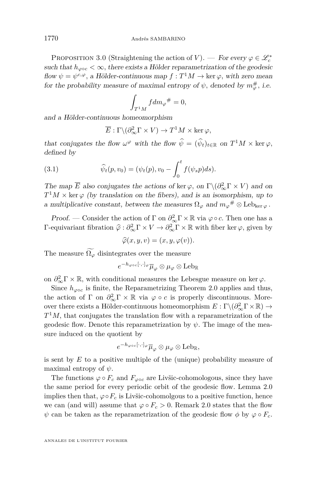<span id="page-16-0"></span>PROPOSITION 3.0 (Straightening the action of *V*). — For every  $\varphi \in \mathscr{L}_c^*$ such that  $h_{\text{soc}} < \infty$ , there exists a Hölder reparametrization of the geodesic flow  $\psi = \psi^{c,\varphi}$ , a Hölder-continuous map  $f : T^1M \to \text{ker }\varphi$ , with zero mean for the probability measure of maximal entropy of  $\psi$ , denoted by  $m_{\varphi}^{\#}$ , i.e.

$$
\int_{T^1M} f dm_\varphi^{\#} = 0,
$$

and a Hölder-continuous homeomorphism

$$
\overline{E} : \Gamma \backslash (\partial_{\infty}^2 \Gamma \times V) \to T^1 M \times \ker \varphi,
$$

that conjugates the flow  $\omega^{\varphi}$  with the flow  $\psi = (\psi_t)_{t \in \mathbb{R}}$  on  $T^1M \times \ker \varphi$ , defined by

(3.1) 
$$
\widehat{\psi}_t(p, v_0) = (\psi_t(p), v_0 - \int_0^t f(\psi_s p) ds).
$$

The map  $\overline{E}$  also conjugates the actions of ker  $\varphi$ , on  $\Gamma \backslash (\partial_{\infty}^2 \Gamma \times V)$  and on  $T^1M \times \text{ker }\varphi$  (by translation on the fibers), and is an isomorphism, up to a multiplicative constant, between the measures  $\Omega_{\varphi}$  and  $m_{\varphi}$ <sup>#</sup>  $\otimes$  Leb<sub>ker</sub>  $\varphi$ .

*Proof.* — Consider the action of  $\Gamma$  on  $\partial_{\infty}^2 \Gamma \times \mathbb{R}$  via  $\varphi \circ c$ . Then one has a  $Γ$ -equivariant fibration  $\hat{\varphi}$  :  $\partial_{\infty}^2 Γ \times V \to \partial_{\infty}^2 Γ \times ℝ$  with fiber ker  $\varphi$ , given by

$$
\widehat{\varphi}(x, y, v) = (x, y, \varphi(v)).
$$

The measure  $\Omega_{\varphi}$  disintegrates over the measure

$$
e^{-h_{\varphi\circ c}[\cdot,\cdot]_{\varphi}}\overline{\mu}_{\varphi}\otimes\mu_{\varphi}\otimes\mathrm{Leb}_\mathbb{R}
$$

on  $\partial_{\infty}^2 \Gamma \times \mathbb{R}$ , with conditional measures the Lebesgue measure on ker  $\varphi$ .

Since  $h_{\varphi \circ c}$  is finite, the Reparametrizing Theorem [2.0](#page-13-0) applies and thus, the action of  $\Gamma$  on  $\partial_{\infty}^2 \Gamma \times \mathbb{R}$  via  $\varphi \circ c$  is properly discontinuous. Moreover there exists a Hölder-continuous homeomorphism  $E: \Gamma \backslash (\partial_\infty^2 \Gamma \times \mathbb{R}) \to$ *T* <sup>1</sup>*M,* that conjugates the translation flow with a reparametrization of the geodesic flow. Denote this reparametrization by  $\psi$ . The image of the measure induced on the quotient by

$$
e^{-h_{\varphi\circ c}[\cdot,\cdot]_{\varphi}}\overline{\mu}_{\varphi}\otimes\mu_{\varphi}\otimes\mathrm{Leb}_{\mathbb{R}},
$$

is sent by *E* to a positive multiple of the (unique) probability measure of maximal entropy of *ψ.*

The functions  $\varphi \circ F_c$  and  $F_{\varphi \circ c}$  are Livšic-cohomologous, since they have the same period for every periodic orbit of the geodesic flow. Lemma [2.0](#page-13-0) implies then that,  $\varphi \circ F_c$  is Livšic-cohomolgous to a positive function, hence we can (and will) assume that  $\varphi \circ F_c > 0$ . Remark [2.0](#page-14-0) states that the flow *ψ* can be taken as the reparametrization of the geodesic flow *φ* by  $\varphi \circ F_c$ .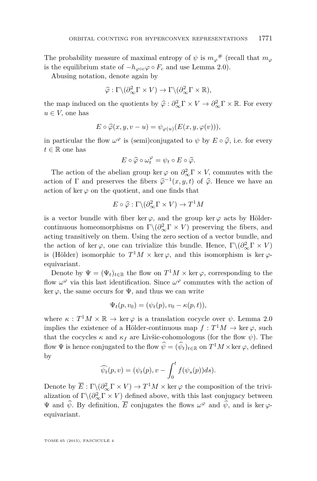The probability measure of maximal entropy of  $\psi$  is  $m_{\varphi}$ <sup>#</sup> (recall that  $m_{\varphi}$ is the equilibrium state of  $-h_{\text{loc}}\varphi \circ F_c$  and use Lemma [2.0\)](#page-9-0).

Abusing notation, denote again by

$$
\widehat{\varphi} : \Gamma \backslash (\partial_{\infty}^2 \Gamma \times V) \to \Gamma \backslash (\partial_{\infty}^2 \Gamma \times \mathbb{R}),
$$

the map induced on the quotients by  $\hat{\varphi} : \partial_{\infty}^2 \Gamma \times V \to \partial_{\infty}^2 \Gamma \times \mathbb{R}$ . For every  $\omega \in V$  are heating  $u \in V$ , one has

$$
E \circ \widehat{\varphi}(x, y, v - u) = \psi_{\varphi(u)}(E(x, y, \varphi(v))),
$$

in particular the flow  $\omega^{\varphi}$  is (semi)conjugated to  $\psi$  by  $E \circ \hat{\varphi}$ , i.e. for every  $t \in \mathbb{R}$  and here  $t \in \mathbb{R}$  one has

$$
E \circ \widehat{\varphi} \circ \omega_t^{\varphi} = \psi_t \circ E \circ \widehat{\varphi}.
$$

The action of the abelian group ker  $\varphi$  on  $\partial_{\infty}^2 \Gamma \times V$ , commutes with the action of  $\Gamma$  and preserves the fibers  $\hat{\varphi}^{-1}(x, y, t)$  of  $\hat{\varphi}$ . Hence we have an estimate of line on the quotient and one finds that action of ker  $\varphi$  on the quotient, and one finds that

$$
E \circ \widehat{\varphi} : \Gamma \backslash (\partial_{\infty}^2 \Gamma \times V) \to T^1 M
$$

is a vector bundle with fiber ker  $\varphi$ , and the group ker  $\varphi$  acts by Höldercontinuous homeomorphisms on  $\Gamma \backslash (\partial_{\infty}^2 \Gamma \times V)$  preserving the fibers, and acting transitively on them. Using the zero section of a vector bundle, and the action of ker  $\varphi$ , one can trivialize this bundle. Hence,  $\Gamma \backslash (\partial_{\infty}^2 \Gamma \times V)$ is (Hölder) isomorphic to  $T^1M \times \text{ker }\varphi$ , and this isomorphism is ker  $\varphi$ equivariant.

Denote by  $\Psi = (\Psi_t)_{t \in \mathbb{R}}$  the flow on  $T^1M \times \ker \varphi$ , corresponding to the flow  $\omega^{\varphi}$  via this last identification. Since  $\omega^{\varphi}$  commutes with the action of ker  $\varphi$ , the same occurs for  $\Psi$ , and thus we can write

$$
\Psi_t(p, v_0) = (\psi_t(p), v_0 - \kappa(p, t)),
$$

where  $\kappa$ :  $T^1 M \times \mathbb{R} \to \ker \varphi$  is a translation cocycle over  $\psi$ . Lemma [2.0](#page-9-0) implies the existence of a Hölder-continuous map  $f: T^1M \to \text{ker }\varphi$ , such that the cocycles  $\kappa$  and  $\kappa_f$  are Livšic-cohomologous (for the flow  $\psi$ ). The flow  $\Psi$  is hence conjugated to the flow  $\hat{\psi} = (\hat{\psi}_t)_{t \in \mathbb{R}}$  on  $T^1M \times \ker \varphi$ , defined by

$$
\widehat{\psi_t}(p,v) = (\psi_t(p), v - \int_0^t f(\psi_s(p))ds).
$$

Denote by  $\overline{E}: \Gamma \backslash (\partial_{\infty}^2 \Gamma \times V) \to T^1 M \times \ker \varphi$  the composition of the trivialization of  $\Gamma \backslash (\partial_\infty^2 \Gamma \times V)$  defined above, with this last conjugacy between  $\Psi$  and  $\hat{\psi}$ . By definition,  $\overline{E}$  conjugates the flows  $\omega^{\varphi}$  and  $\hat{\psi}$ , and is ker  $\varphi$ equivariant.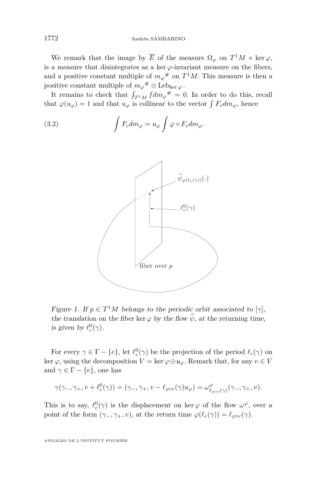<span id="page-18-0"></span>We remark that the image by  $\overline{E}$  of the measure  $\Omega_{\varphi}$  on  $T^1M \times \ker \varphi$ , is a measure that disintegrates as a ker  $\varphi$ -invariant measure on the fibers, and a positive constant multiple of  $m_{\varphi}$ <sup>#</sup> on  $T$ <sup>1</sup> $M$ . This measure is then a positive constant multiple of  $m_\varphi^{\#} \otimes \text{Leb}_{\ker \varphi}$ .

It remains to check that  $\int_{T^1M} f dm_\varphi^{\#} = 0$ . In order to do this, recall that  $\varphi(u_{\varphi}) = 1$  and that  $u_{\varphi}$  is collinear to the vector  $\int F_c dm_{\varphi}$ , hence

(3.2) 
$$
\int F_c dm_\varphi = u_\varphi \int \varphi \circ F_c dm_\varphi.
$$



Figure 1. If  $p \in T^1M$  belongs to the periodic orbit associated to  $[\gamma]$ , the translation on the fiber ker  $\varphi$  by the flow  $\hat{\psi}$ , at the returning time, is given by  $\ell_c^0(\gamma)$ .

For every  $\gamma \in \Gamma - \{e\}$ , let  $\ell_c^0(\gamma)$  be the projection of the period  $\ell_c(\gamma)$  on ker  $\varphi$ , using the decomposition  $V = \ker \varphi \oplus \mathfrak{u}_{\varphi}$ . Remark that, for any  $v \in V$ and  $\gamma \in \Gamma - \{e\}$ , one has

$$
\gamma(\gamma_-, \gamma_+, v+ \ell^0_c(\gamma))=(\gamma_-, \gamma_+, v- \ell_{\varphi\circ c}(\gamma)u_\varphi)=\omega^\varphi_{\ell_{\varphi\circ c}(\gamma)}(\gamma_-, \gamma_+, v).
$$

This is to say,  $\ell_c^0(\gamma)$  is the displacement on ker  $\varphi$  of the flow  $\omega^{\varphi}$ , over a point of the form  $(\gamma_-, \gamma_+, v)$ , at the return time  $\varphi(\ell_c(\gamma)) = \ell_{\varphi \circ c}(\gamma)$ .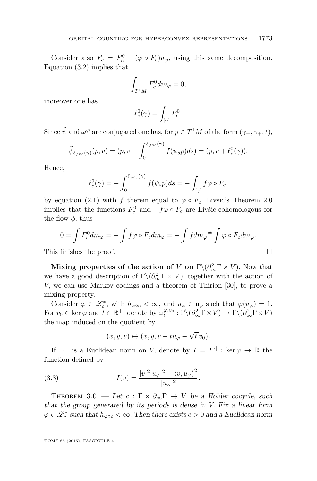<span id="page-19-0"></span>Consider also  $F_c = F_c^0 + (\varphi \circ F_c)u_\varphi$ , using this same decomposition. Equation [\(3.2\)](#page-18-0) implies that

$$
\int_{T^1M} F_c^0 dm_\varphi = 0,
$$

moreover one has

$$
\ell_c^0(\gamma) = \int_{[\gamma]} F_c^0.
$$

Since  $\psi$  and  $\omega^{\varphi}$  are conjugated one has, for  $p \in T^{1}M$  of the form  $(\gamma_{-}, \gamma_{+}, t)$ ,

$$
\widehat{\psi}_{\ell_{\varphi\circ c}(\gamma)}(p,v)=(p,v-\int_0^{\ell_{\varphi\circ c}(\gamma)}f(\psi_sp)ds)=(p,v+\ell_c^0(\gamma)).
$$

Hence,

$$
\ell_c^0(\gamma) = -\int_0^{\ell_{\varphi\circ c}(\gamma)} f(\psi_s p) ds = -\int_{[\gamma]} f\varphi \circ F_c,
$$

by equation [\(2.1\)](#page-8-0) with *f* therein equal to  $\varphi \circ F_c$ . Livšic's Theorem [2.0](#page-9-0) implies that the functions  $F_c^0$  and  $-f\varphi \circ F_c$  are Livšic-cohomologous for the flow  $\phi$ , thus

$$
0 = \int F_c^0 dm_\varphi = -\int f\varphi \circ F_c dm_\varphi = -\int f dm_\varphi{}^{\#} \int \varphi \circ F_c dm_\varphi.
$$

This finishes the proof.  $\Box$ 

**Mixing properties of the action of** *V* on  $\Gamma \backslash (\partial_{\infty}^2 \Gamma \times V)$ . Now that we have a good description of  $\Gamma \backslash (\partial_{\infty}^2 \Gamma \times V)$ , together with the action of *V,* we can use Markov codings and a theorem of Thirion [\[30\]](#page-43-0), to prove a mixing property.

Consider  $\varphi \in \mathcal{L}_c^*$ , with  $h_{\varphi \circ c} < \infty$ , and  $u_{\varphi} \in \mathfrak{u}_{\varphi}$  such that  $\varphi(u_{\varphi}) = 1$ . For  $v_0 \in \ker \varphi$  and  $t \in \mathbb{R}^+$ , denote by  $\omega_t^{\varphi, v_0} : \Gamma \backslash (\partial_\infty^2 \Gamma \times V) \to \Gamma \backslash (\partial_\infty^2 \Gamma \times V)$ the map induced on the quotient by

$$
(x, y, v) \mapsto (x, y, v - tu_{\varphi} - \sqrt{t} v_0).
$$

If  $|\cdot|$  is a Euclidean norm on *V*, denote by  $I = I^{|\cdot|}$  : ker  $\varphi \to \mathbb{R}$  the function defined by

(3.3) 
$$
I(v) = \frac{|v|^2 |u_{\varphi}|^2 - \langle v, u_{\varphi} \rangle^2}{|u_{\varphi}|^2}.
$$

THEOREM 3.0. — Let  $c : \Gamma \times \partial_{\infty} \Gamma \to V$  be a Hölder cocycle, such that the group generated by its periods is dense in *V.* Fix a linear form  $\varphi \in \mathcal{L}_c^*$  such that  $h_{\varphi \circ c} < \infty$ . Then there exists  $c > 0$  and a Euclidean norm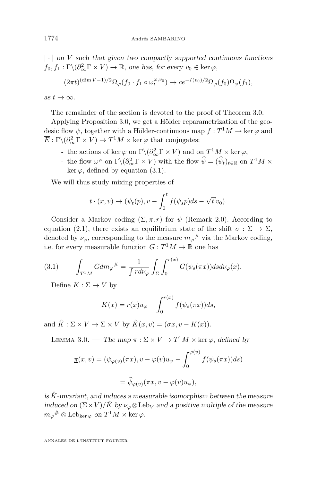<span id="page-20-0"></span> $|\cdot|$  on *V* such that given two compactly supported continuous functions  $f_0, f_1: \Gamma \backslash (\partial_{\infty}^2 \Gamma \times V) \to \mathbb{R}$ , one has, for every  $v_0 \in \text{ker }\varphi$ ,

$$
(2\pi t)^{(\dim V - 1)/2} \Omega_{\varphi}(f_0 \cdot f_1 \circ \omega_t^{\varphi, v_0}) \to c e^{-I(v_0)/2} \Omega_{\varphi}(f_0) \Omega_{\varphi}(f_1),
$$

as  $t \to \infty$ .

The remainder of the section is devoted to the proof of Theorem [3.0.](#page-19-0)

Applying Proposition [3.0,](#page-16-0) we get a Hölder reparametrization of the geodesic flow  $\psi$ , together with a Hölder-continuous map  $f: T^1M \to \ker \varphi$  and  $\overline{E}$ :  $\Gamma \backslash (\partial_{\infty}^2 \Gamma \times V) \rightarrow T^1 M \times \text{ker } \varphi$  that conjugates:

- $\sim$  the actions of ker  $\varphi$  on  $\Gamma \backslash (\partial_{\infty}^2 \Gamma \times V)$  and on  $T^1 M \times \text{ker } \varphi$ ,
- $\psi$  the flow  $\omega^{\varphi}$  on  $\Gamma \backslash (\partial_{\infty}^2 \Gamma \times V)$  with the flow  $\psi = (\psi_t)_{t \in \mathbb{R}}$  on  $T^1 M \times$ ker  $\varphi$ , defined by equation [\(3.1\)](#page-16-0).

We will thus study mixing properties of

$$
t \cdot (x, v) \mapsto (\psi_t(p), v - \int_0^t f(\psi_s p) ds - \sqrt{t} v_0).
$$

Consider a Markov coding  $(\Sigma, \pi, r)$  for  $\psi$  (Remark [2.0\)](#page-10-0). According to equation [\(2.1\)](#page-11-0), there exists an equilibrium state of the shift  $\sigma : \Sigma \to \Sigma$ , denoted by  $\nu_{\varphi}$ , corresponding to the measure  $m_{\varphi}$ <sup>#</sup> via the Markov coding, i.e. for every measurable function  $G: T^1M \to \mathbb{R}$  one has

(3.1) 
$$
\int_{T^1M} G dm_{\varphi}^{\#} = \frac{1}{\int r d\nu_{\varphi}} \int_{\Sigma} \int_0^{r(x)} G(\psi_s(\pi x)) ds d\nu_{\varphi}(x).
$$

Define  $K : \Sigma \to V$  by

$$
K(x) = r(x)u_{\varphi} + \int_0^{r(x)} f(\psi_s(\pi x))ds,
$$

and  $\hat{K}$  :  $\Sigma \times V \to \Sigma \times V$  by  $\hat{K}(x, v) = (\sigma x, v - K(x))$ .

LEMMA 3.0. — The map  $\underline{\pi} : \Sigma \times V \to T^1M \times \ker \varphi$ , defined by

$$
\underline{\pi}(x,v) = (\psi_{\varphi(v)}(\pi x), v - \varphi(v)u_{\varphi} - \int_0^{\varphi(v)} f(\psi_s(\pi x))ds)
$$

$$
= \widehat{\psi}_{\varphi(v)}(\pi x, v - \varphi(v)u_{\varphi}),
$$

is  $\hat{K}$ -invariant, and induces a measurable isomorphism between the measure induced on  $(\Sigma \times V)/\hat{K}$  by  $\nu_{\varphi} \otimes \text{Leb}_V$  and a positive multiple of the measure  $m_{\varphi}$ <sup>#</sup> ⊗ Leb<sub>ker  $\varphi$ </sub> on  $T$ <sup>1</sup> $M \times$  ker  $\varphi$ .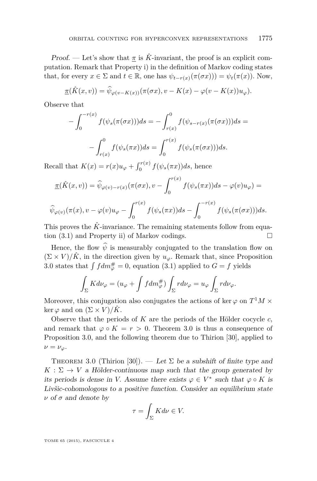Proof. — Let's show that  $\pi$  is  $\hat{K}$ -invariant, the proof is an explicit computation. Remark that Property i) in the definition of Markov coding states that, for every  $x \in \Sigma$  and  $t \in \mathbb{R}$ , one has  $\psi_{t-r(x)}(\pi(\sigma x))) = \psi_t(\pi(x))$ . Now,

$$
\underline{\pi}(\hat{K}(x,v)) = \widehat{\psi}_{\varphi(v-K(x))}(\pi(\sigma x), v - K(x)) - \varphi(v - K(x))u_{\varphi}).
$$

Observe that

$$
-\int_0^{-r(x)} f(\psi_s(\pi(\sigma x)))ds = -\int_{r(x)}^0 f(\psi_{s-r(x)}(\pi(\sigma x)))ds =
$$

$$
-\int_{r(x)}^0 f(\psi_s(\pi x))ds = \int_0^{r(x)} f(\psi_s(\pi(\sigma x)))ds.
$$

Recall that  $K(x) = r(x)u_{\varphi} + \int_0^{r(x)} f(\psi_s(\pi x))ds$ , hence

$$
\underline{\pi}(\hat{K}(x,v)) = \widehat{\psi}_{\varphi(v)-r(x)}(\pi(\sigma x), v - \int_0^{r(x)} f(\psi_s(\pi x))ds - \varphi(v)u_\varphi) =
$$

$$
\widehat{\psi}_{\varphi(v)}(\pi(x),v-\varphi(v)u_{\varphi}-\int_0^{r(x)}f(\psi_s(\pi x))ds-\int_0^{-r(x)}f(\psi_s(\pi(\sigma x)))ds.
$$

This proves the  $\hat{K}$ -invariance. The remaining statements follow from equation  $(3.1)$  and Property ii) of Markov codings.

Hence, the flow  $\hat{\psi}$  is measurably conjugated to the translation flow on  $(\Sigma \times V)/\hat{K}$ , in the direction given by  $u_{\varphi}$ . Remark that, since Proposition [3.0](#page-16-0) states that  $\int f dm_{\varphi}^{\#} = 0$ , equation [\(3.1\)](#page-20-0) applied to  $G = f$  yields

$$
\int_{\Sigma} K d\nu_{\varphi} = (u_{\varphi} + \int f dm_{\varphi}^{#}) \int_{\Sigma} r d\nu_{\varphi} = u_{\varphi} \int_{\Sigma} r d\nu_{\varphi}.
$$

Moreover, this conjugation also conjugates the actions of ker  $\varphi$  on  $T^1M \times$ ker  $\varphi$  and on  $(\Sigma \times V)/\hat{K}$ .

Observe that the periods of *K* are the periods of the Hölder cocycle *c,* and remark that  $\varphi \circ K = r > 0$ . Theorem [3.0](#page-19-0) is thus a consequence of Proposition [3.0,](#page-16-0) and the following theorem due to Thirion [\[30\]](#page-43-0), applied to  $\nu = \nu_{\varphi}$ .

THEOREM 3.0 (Thirion [\[30\]](#page-43-0)). — Let  $\Sigma$  be a subshift of finite type and  $K: \Sigma \to V$  a Hölder-continuous map such that the group generated by its periods is dense in *V*. Assume there exists  $\varphi \in V^*$  such that  $\varphi \circ K$  is Livšic-cohomologous to a positive function. Consider an equilibrium state *ν* of *σ* and denote by

$$
\tau = \int_{\Sigma} K d\nu \in V.
$$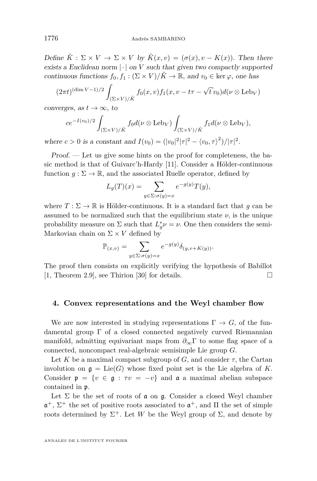<span id="page-22-0"></span>Define  $\hat{K}: \Sigma \times V \to \Sigma \times V$  by  $\hat{K}(x, v) = (\sigma(x), v - K(x))$ . Then there exists a Euclidean norm  $|\cdot|$  on *V* such that given two compactly supported continuous functions  $f_0, f_1 : (\Sigma \times V)/\hat{K} \to \mathbb{R}$ , and  $v_0 \in \text{ker } \varphi$ , one has

$$
(2\pi t)^{(\dim V - 1)/2} \int_{(\Sigma \times V)/\hat{K}} f_0(x, v) f_1(x, v - t\tau - \sqrt{t}v_0) d(\nu \otimes \text{Leb}_V)
$$

converges, as  $t \to \infty$ , to

$$
ce^{-I(v_0)/2} \int_{(\Sigma \times V)/\hat{K}} f_0 d(\nu \otimes \text{Leb}_V) \int_{(\Sigma \times V)/\hat{K}} f_1 d(\nu \otimes \text{Leb}_V),
$$

where  $c > 0$  is a constant and  $I(v_0) = (|v_0|^2 |\tau|^2 - \langle v_0, \tau \rangle^2)/|\tau|^2$ .

Proof. — Let us give some hints on the proof for completeness, the basic method is that of Guivarc'h-Hardy [\[11\]](#page-42-0). Consider a Hölder-continuous function  $g: \Sigma \to \mathbb{R}$ , and the associated Ruelle operator, defined by

$$
L_g(T)(x) = \sum_{y \in \Sigma : \sigma(y) = x} e^{-g(y)} T(y),
$$

where  $T : \Sigma \to \mathbb{R}$  is Hölder-continuous. It is a standard fact that *g* can be assumed to be normalized such that the equilibrium state  $\nu$ , is the unique probability measure on  $\Sigma$  such that  $L_g^* \nu = \nu$ . One then considers the semi-Markovian chain on  $\Sigma \times V$  defined by

$$
\mathbb{P}_{(x,v)} = \sum_{y \in \Sigma: \sigma(y) = x} e^{-g(y)} \delta_{(y,v+K(y))}.
$$

The proof then consists on explicitly verifying the hypothesis of Babillot  $[1,$  Theorem 2.9, see Thirion  $[30]$  for details.

#### **4. Convex representations and the Weyl chamber flow**

We are now interested in studying representations  $\Gamma \to G$ , of the fundamental group Γ of a closed connected negatively curved Riemannian manifold, admitting equivariant maps from  $\partial_{\infty} \Gamma$  to some flag space of a connected, noncompact real-algebraic semisimple Lie group *G.*

Let *K* be a maximal compact subgroup of *G*, and consider  $\tau$ , the Cartan involution on  $g = \text{Lie}(G)$  whose fixed point set is the Lie algebra of K. Consider  $\mathfrak{p} = \{v \in \mathfrak{g} : \tau v = -v\}$  and  $\mathfrak{a}$  a maximal abelian subspace contained in p*.*

Let  $\Sigma$  be the set of roots of **a** on **g**. Consider a closed Weyl chamber a <sup>+</sup>*,* Σ <sup>+</sup> the set of positive roots associated to a <sup>+</sup>*,* and Π the set of simple roots determined by  $\Sigma^+$ . Let *W* be the Weyl group of  $\Sigma$ , and denote by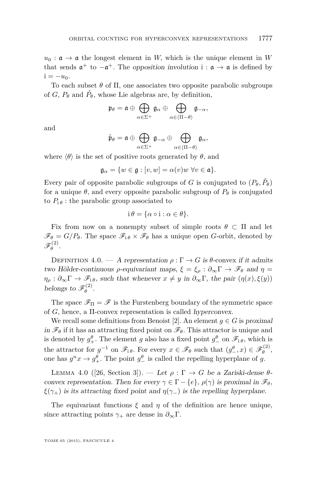<span id="page-23-0"></span> $u_0$ :  $\mathfrak{a} \to \mathfrak{a}$  the longest element in *W*, which is the unique element in *W* that sends  $\mathfrak{a}^+$  to  $-\mathfrak{a}^+$ . The opposition involution  $i : \mathfrak{a} \to \mathfrak{a}$  is defined by  $i = -u_0$ .

To each subset  $\theta$  of  $\Pi$ , one associates two opposite parabolic subgroups of *G*,  $P_{\theta}$  and  $\check{P}_{\theta}$ , whose Lie algebras are, by definition,

$$
\mathfrak{p}_{\theta} = \mathfrak{a} \oplus \bigoplus_{\alpha \in \Sigma^+} \mathfrak{g}_{\alpha} \oplus \bigoplus_{\alpha \in \langle \Pi - \theta \rangle} \mathfrak{g}_{-\alpha},
$$

and

$$
\check{\mathfrak{p}}_\theta = \mathfrak{a} \oplus \bigoplus_{\alpha \in \Sigma^+} \mathfrak{g}_{-\alpha} \oplus \bigoplus_{\alpha \in \langle \Pi - \theta \rangle} \mathfrak{g}_\alpha,
$$

where  $\langle \theta \rangle$  is the set of positive roots generated by  $\theta$ , and

$$
\mathfrak{g}_{\alpha} = \{ w \in \mathfrak{g} : [v, w] = \alpha(v)w \,\,\forall v \in \mathfrak{a} \}.
$$

Every pair of opposite parabolic subgroups of *G* is conjugated to  $(P_{\theta}, \check{P}_{\theta})$ for a unique  $\theta$ , and every opposite parabolic subgroup of  $P_{\theta}$  is conjugated to  $P_{i\theta}$ : the parabolic group associated to

$$
i \theta = \{ \alpha \circ i : \alpha \in \theta \}.
$$

Fix from now on a nonempty subset of simple roots  $\theta \subset \Pi$  and let  $\mathscr{F}_{\theta} = G/P_{\theta}$ . The space  $\mathscr{F}_{i\theta} \times \mathscr{F}_{\theta}$  has a unique open *G*-orbit, denoted by  $\mathscr{F}^{(2)}_\theta$ *θ .*

DEFINITION 4.0. — A representation  $\rho : \Gamma \to G$  is  $\theta$ -convex if it admits two Hölder-continuous *ρ*-equivariant maps,  $\xi = \xi$ <sup>ρ</sup> :  $\partial_{\infty} \Gamma \rightarrow \mathscr{F}_{\theta}$  and *η* =  $\eta_{\rho}: \partial_{\infty} \Gamma \to \mathscr{F}_{i\theta}$ *, such that whenever*  $x \neq y$  in  $\partial_{\infty} \Gamma$ *, the pair*  $(\eta(x), \xi(y))$ belongs to  $\mathscr{F}_{\theta}^{(2)}$ *θ .*

The space  $\mathscr{F}_{\Pi} = \mathscr{F}$  is the Furstenberg boundary of the symmetric space of *G,* hence, a Π-convex representation is called hyperconvex.

We recall some definitions from Benoist [\[2\]](#page-42-0). An element  $g \in G$  is proximal in  $\mathscr{F}_{\theta}$  if it has an attracting fixed point on  $\mathscr{F}_{\theta}$ . This attractor is unique and is denoted by  $g_+^{\theta}$ . The element *g* also has a fixed point  $g_-^{\theta}$  on  $\mathscr{F}_{i\theta}$ , which is the attractor for  $g^{-1}$  on  $\mathscr{F}_i \rho$ . For every  $x \in \mathscr{F}_\theta$  such that  $(g^{\theta}_{-}, x) \in \mathscr{F}_\theta^{(2)}$ *θ ,* one has  $g^n x \to g_+^\theta$ . The point  $g_-^\theta$  is called the repelling hyperplane of *g*.

LEMMA 4.0 ([\[26,](#page-43-0) Section 3]). — Let  $ρ : Γ → G$  be a Zariski-dense θ convex representation. Then for every  $\gamma \in \Gamma - \{e\}$ ,  $\rho(\gamma)$  is proximal in  $\mathscr{F}_{\theta}$ , *ξ*( $\gamma$ <sub>+</sub>) is its attracting fixed point and  $\eta(\gamma)$  is the repelling hyperplane.

The equivariant functions  $\xi$  and  $\eta$  of the definition are hence unique, since attracting points  $\gamma_+$  are dense in  $\partial_\infty \Gamma$ .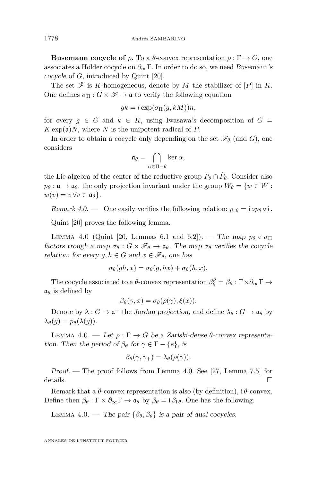<span id="page-24-0"></span>**Busemann cocycle of**  $\rho$ . To a  $\theta$ -convex representation  $\rho : \Gamma \to G$ , one associates a Hölder cocycle on *∂*∞Γ*.* In order to do so, we need Busemann's cocycle of *G,* introduced by Quint [\[20\]](#page-43-0).

The set  $\mathscr F$  is *K*-homogeneous, denote by *M* the stabilizer of  $[P]$  in *K*. One defines  $\sigma_{\Pi}: G \times \mathscr{F} \to \mathfrak{a}$  to verify the following equation

$$
gk = l \exp(\sigma_{\Pi}(g, kM))n,
$$

for every  $g \in G$  and  $k \in K$ , using Iwasawa's decomposition of  $G =$  $K \exp(\mathfrak{a})N$ , where *N* is the unipotent radical of *P*.

In order to obtain a cocycle only depending on the set  $\mathscr{F}_{\theta}$  (and *G*), one considers

$$
\mathfrak{a}_{\theta} = \bigcap_{\alpha \in \Pi - \theta} \ker \alpha,
$$

the Lie algebra of the center of the reductive group  $P_{\theta} \cap \check{P}_{\theta}$ . Consider also  $p_{\theta} : \mathfrak{a} \to \mathfrak{a}_{\theta}$ , the only projection invariant under the group  $W_{\theta} = \{w \in W :$  $w(v) = v \,\forall v \in \mathfrak{a}_{\theta}$ .

Remark 4.0. — One easily verifies the following relation:  $p_i \theta = i \circ p_\theta \circ i$ .

Quint [\[20\]](#page-43-0) proves the following lemma.

LEMMA 4.0 (Quint [\[20,](#page-43-0) Lemmas 6.1 and 6.2]). — The map  $p_\theta \circ \sigma_\Pi$ factors trough a map  $\sigma_{\theta}: G \times \mathscr{F}_{\theta} \to \mathfrak{a}_{\theta}$ . The map  $\sigma_{\theta}$  verifies the cocycle relation: for every  $g, h \in G$  and  $x \in \mathscr{F}_{\theta}$ , one has

$$
\sigma_{\theta}(gh, x) = \sigma_{\theta}(g, hx) + \sigma_{\theta}(h, x).
$$

The cocycle associated to a  $\theta$ -convex representation  $\beta_{\theta}^{\rho} = \beta_{\theta} : \Gamma \times \partial_{\infty} \Gamma \to$  $a_{\theta}$  is defined by

$$
\beta_{\theta}(\gamma, x) = \sigma_{\theta}(\rho(\gamma), \xi(x)).
$$

Denote by  $\lambda: G \to \mathfrak{a}^+$  the Jordan projection, and define  $\lambda_{\theta}: G \to \mathfrak{a}_{\theta}$  by  $\lambda_{\theta}(q) = p_{\theta}(\lambda(q)).$ 

LEMMA 4.0. − Let  $ρ: Γ → G$  be a Zariski-dense  $θ$ -convex representation. Then the period of  $\beta_{\theta}$  for  $\gamma \in \Gamma - \{e\}$ *,* is

$$
\beta_{\theta}(\gamma, \gamma_{+}) = \lambda_{\theta}(\rho(\gamma)).
$$

Proof. — The proof follows from Lemma [4.0.](#page-23-0) See [\[27,](#page-43-0) Lemma 7.5] for details.  $\Box$ 

Remark that a  $\theta$ -convex representation is also (by definition),  $i\theta$ -convex. Define then  $\overline{\beta_{\theta}} : \Gamma \times \partial_{\infty} \Gamma \to \mathfrak{a}_{\theta}$  by  $\overline{\beta_{\theta}} = i \beta_{i} \theta$ . One has the following.

LEMMA 4.0. — The pair  $\{\beta_{\theta}, \overline{\beta_{\theta}}\}$  is a pair of dual cocycles.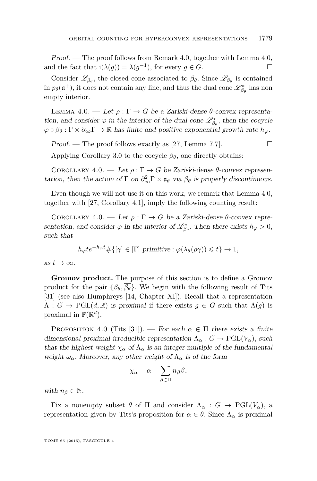Proof. — The proof follows from Remark [4.0,](#page-24-0) together with Lemma [4.0,](#page-24-0) and the fact that  $i(\lambda(g)) = \lambda(g^{-1})$ , for every  $g \in G$ .

Consider  $\mathscr{L}_{\beta_{\theta}}$ , the closed cone associated to  $\beta_{\theta}$ . Since  $\mathscr{L}_{\beta_{\theta}}$  is contained in  $p_{\theta}(\mathfrak{a}^+)$ , it does not contain any line, and thus the dual cone  $\mathscr{L}_{\beta_{\theta}}^{*}$  has non empty interior.

LEMMA 4.0. — Let  $ρ: Γ \rightarrow G$  be a Zariski-dense  $θ$ -convex representation, and consider  $\varphi$  in the interior of the dual cone  $\mathscr{L}_{\beta_{\theta}}^{*}$ , then the cocycle  $\varphi \circ \beta_{\theta} : \Gamma \times \partial_{\infty} \Gamma \to \mathbb{R}$  has finite and positive exponential growth rate  $h_{\varphi}$ .

Proof. — The proof follows exactly as [\[27,](#page-43-0) Lemma 7.7].

Applying Corollary [3.0](#page-14-0) to the cocycle  $\beta_{\theta}$ , one directly obtains:

COROLLARY 4.0. — Let  $\rho : \Gamma \to G$  be Zariski-dense  $\theta$ -convex representation, then the action of  $\Gamma$  on  $\partial_{\infty}^2 \Gamma \times \mathfrak{a}_{\theta}$  via  $\beta_{\theta}$  is properly discontinuous.

Even though we will not use it on this work, we remark that Lemma 4.0, together with [\[27,](#page-43-0) Corollary 4.1], imply the following counting result:

COROLLARY 4.0. — Let  $\rho : \Gamma \to G$  be a Zariski-dense  $\theta$ -convex representation, and consider  $\varphi$  in the interior of  $\mathscr{L}_{\beta_{\theta}}^{*}$ . Then there exists  $h_{\varphi} > 0$ , such that

$$
h_{\varphi}te^{-h_{\varphi}t} \# \{ [\gamma] \in [\Gamma] \text{ primitive} : \varphi(\lambda_{\theta}(\rho \gamma)) \leq t \} \to 1,
$$

as  $t \to \infty$ .

**Gromov product.** The purpose of this section is to define a Gromov product for the pair  $\{\beta_{\theta}, \beta_{\theta}\}\$ . We begin with the following result of Tits [\[31\]](#page-43-0) (see also Humphreys [\[14,](#page-42-0) Chapter XI]). Recall that a representation  $\Lambda : G \to \mathrm{PGL}(d,\mathbb{R})$  is proximal if there exists  $g \in G$  such that  $\Lambda(g)$  is proximal in  $\mathbb{P}(\mathbb{R}^d)$ .

PROPOSITION 4.0 (Tits [\[31\]](#page-43-0)). — For each  $\alpha \in \Pi$  there exists a finite dimensional proximal irreducible representation  $\Lambda_{\alpha}: G \to \mathrm{PGL}(V_{\alpha})$ , such that the highest weight  $\chi_{\alpha}$  of  $\Lambda_{\alpha}$  is an integer multiple of the fundamental weight  $\omega_{\alpha}$ . Moreover, any other weight of  $\Lambda_{\alpha}$  is of the form

$$
\chi_{\alpha} - \alpha - \sum_{\beta \in \Pi} n_{\beta} \beta,
$$

with  $n_\beta \in \mathbb{N}$ .

Fix a nonempty subset  $\theta$  of  $\Pi$  and consider  $\Lambda_{\alpha}: G \to \mathrm{PGL}(V_{\alpha})$ , a representation given by Tits's proposition for  $\alpha \in \theta$ . Since  $\Lambda_{\alpha}$  is proximal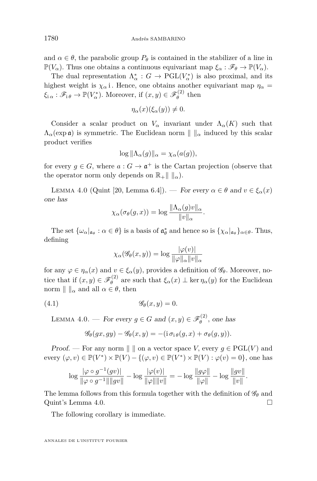<span id="page-26-0"></span>and  $\alpha \in \theta$ , the parabolic group  $P_{\theta}$  is contained in the stabilizer of a line in  $\mathbb{P}(V_\alpha)$ . Thus one obtains a continuous equivariant map  $\xi_\alpha : \mathscr{F}_\theta \to \mathbb{P}(V_\alpha)$ .

The dual representation  $\Lambda^*_{\alpha}: G \to \mathrm{PGL}(V^*_{\alpha})$  is also proximal, and its highest weight is  $\chi_{\alpha}$  i. Hence, one obtains another equivariant map  $\eta_{\alpha}$  =  $\xi_{i\alpha} : \mathscr{F}_{i\theta} \to \mathbb{P}(V_{\alpha}^*)$ . Moreover, if  $(x, y) \in \mathscr{F}_{\theta}^{(2)}$  $\theta$ <sup>(2)</sup> then

$$
\eta_{\alpha}(x)(\xi_{\alpha}(y)) \neq 0.
$$

Consider a scalar product on  $V_\alpha$  invariant under  $\Lambda_\alpha(K)$  such that  $\Lambda_{\alpha}(\exp \mathfrak{a})$  is symmetric. The Euclidean norm  $\|\|_{\alpha}$  induced by this scalar product verifies

$$
\log \|\Lambda_{\alpha}(g)\|_{\alpha} = \chi_{\alpha}(a(g)),
$$

for every  $g \in G$ , where  $a: G \to \mathfrak{a}^+$  is the Cartan projection (observe that the operator norm only depends on  $\mathbb{R}_+ \parallel \parallel_{\alpha}$ .

LEMMA 4.0 (Quint [\[20,](#page-43-0) Lemma 6.4]). — For every  $\alpha \in \theta$  and  $v \in \xi_{\alpha}(x)$ one has

$$
\chi_{\alpha}(\sigma_{\theta}(g,x)) = \log \frac{\|\Lambda_{\alpha}(g)v\|_{\alpha}}{\|v\|_{\alpha}}.
$$

The set  $\{\omega_{\alpha}|_{\mathfrak{a}_{\theta}} : \alpha \in \theta\}$  is a basis of  $\mathfrak{a}_{\theta}^{*}$  and hence so is  $\{\chi_{\alpha}|_{\mathfrak{a}_{\theta}}\}_{\alpha \in \theta}$ . Thus, defining

$$
\chi_{\alpha}(\mathscr{G}_{\theta}(x,y)) = \log \frac{|\varphi(v)|}{\|\varphi\|_{\alpha}\|v\|_{\alpha}}
$$

for any  $\varphi \in \eta_{\alpha}(x)$  and  $v \in \xi_{\alpha}(y)$ , provides a definition of  $\mathscr{G}_{\theta}$ . Moreover, notice that if  $(x, y) \in \mathscr{F}_{\theta}^{(2)}$  $θ$ <sup>*θ*</sup> are such that *ξ*<sub>*α*</sub>(*x*) ⊥ ker *η<sub>α</sub>*(*y*) for the Euclidean norm  $\| \cdot \|_{\alpha}$  and all  $\alpha \in \theta$ , then

(4.1) G*θ*(*x, y*) = 0*.*

LEMMA 4.0. — For every  $g \in G$  and  $(x, y) \in \mathscr{F}_{\theta}^{(2)}$  $\theta$ <sup>(2)</sup>, one has

$$
\mathscr{G}_{\theta}(gx, gy) - \mathscr{G}_{\theta}(x, y) = -(\mathrm{i}\,\sigma_{\mathrm{i}\,\theta}(g, x) + \sigma_{\theta}(g, y)).
$$

*Proof.* — For any norm  $\parallel \ \parallel$  on a vector space *V*, every  $g \in \text{PGL}(V)$  and every  $(\varphi, v) \in \mathbb{P}(V^*) \times \mathbb{P}(V) - \{(\varphi, v) \in \mathbb{P}(V^*) \times \mathbb{P}(V) : \varphi(v) = 0\}$ , one has

$$
\log \frac{|\varphi \circ g^{-1}(gv)|}{\|\varphi \circ g^{-1}\| \|gv\|} - \log \frac{|\varphi(v)|}{\|\varphi\| \|v\|} = -\log \frac{\|g\varphi\|}{\|\varphi\|} - \log \frac{\|gv\|}{\|v\|}.
$$

The lemma follows from this formula together with the definition of  $\mathscr{G}_{\theta}$  and Quint's Lemma 4.0.

The following corollary is immediate.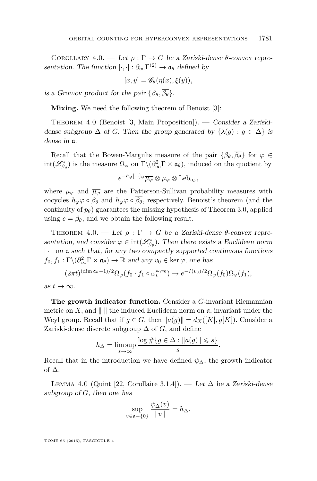<span id="page-27-0"></span>COROLLARY 4.0. — Let  $\rho : \Gamma \to G$  be a Zariski-dense  $\theta$ -convex representation. The function  $[\cdot, \cdot] : \partial_{\infty} \Gamma^{(2)} \to \mathfrak{a}_{\theta}$  defined by

$$
[x, y] = \mathscr{G}_{\theta}(\eta(x), \xi(y)),
$$

is a Gromov product for the pair  $\{\beta_{\theta}, \overline{\beta_{\theta}}\}.$ 

**Mixing.** We need the following theorem of Benoist [\[3\]](#page-42-0):

THEOREM 4.0 (Benoist [\[3,](#page-42-0) Main Proposition]). — Consider a Zariskidense subgroup  $\Delta$  of *G*. Then the group generated by  $\{\lambda(g) : g \in \Delta\}$  is dense in a*.*

Recall that the Bowen-Margulis measure of the pair  $\{\beta_{\theta}, \overline{\beta_{\theta}}\}$  for  $\varphi \in$  $int(\mathscr{L}_{\beta_{\theta}}^{*})$  is the measure  $\Omega_{\varphi}$  on  $\Gamma \backslash (\partial_{\infty}^{2} \Gamma \times \mathfrak{a}_{\theta})$ , induced on the quotient by

$$
e^{-h_\varphi[\cdot,\cdot]_\varphi}\overline{\mu_\varphi}\otimes\mu_\varphi\otimes\mathop{\rm Leb}\nolimits_{{\mathfrak{a}}_\theta},
$$

where  $\mu_{\varphi}$  and  $\overline{\mu_{\varphi}}$  are the Patterson-Sullivan probability measures with cocycles  $h_{\varphi}\varphi \circ \beta_{\theta}$  and  $h_{\varphi}\varphi \circ \overline{\beta_{\theta}}$ , respectively. Benoist's theorem (and the continuity of  $p_\theta$ ) guarantees the missing hypothesis of Theorem [3.0,](#page-19-0) applied using  $c = \beta_{\theta}$ , and we obtain the following result.

THEOREM 4.0. — Let  $\rho : \Gamma \to G$  be a Zariski-dense  $\theta$ -convex representation, and consider  $\varphi \in \text{int}(\mathcal{L}_{\beta_{\theta}}^{*})$ . Then there exists a Euclidean norm  $|\cdot|$  on a such that, for any two compactly supported continuous functions  $f_0, f_1: \Gamma \backslash (\partial_{\infty}^2 \Gamma \times \mathfrak{a}_{\theta}) \to \mathbb{R}$  and any  $v_0 \in \ker \varphi$ , one has

$$
(2\pi t)^{(\dim \mathfrak{a}_{\theta}-1)/2} \Omega_{\varphi}(f_0 \cdot f_1 \circ \omega_t^{\varphi,v_0}) \to e^{-I(v_0)/2} \Omega_{\varphi}(f_0) \Omega_{\varphi}(f_1),
$$

as  $t \to \infty$ .

**The growth indicator function.** Consider a *G*-invariant Riemannian metric on X, and  $\| \cdot \|$  the induced Euclidean norm on  $\alpha$ , invariant under the Weyl group. Recall that if  $g \in G$ , then  $||a(g)|| = d_X([K], g[K])$ . Consider a Zariski-dense discrete subgroup  $\Delta$  of *G*, and define

$$
h_{\Delta} = \limsup_{s \to \infty} \frac{\log \# \{ g \in \Delta : ||a(g)|| \leqslant s \}}{s}.
$$

Recall that in the introduction we have defined  $\psi_{\Delta}$ , the growth indicator of ∆*.*

LEMMA 4.0 (Quint [\[22,](#page-43-0) Corollaire 3.1.4]). — Let ∆ be a Zariski-dense subgroup of *G,* then one has

$$
\sup_{v \in \mathfrak{a} - \{0\}} \frac{\psi_{\Delta}(v)}{\|v\|} = h_{\Delta}.
$$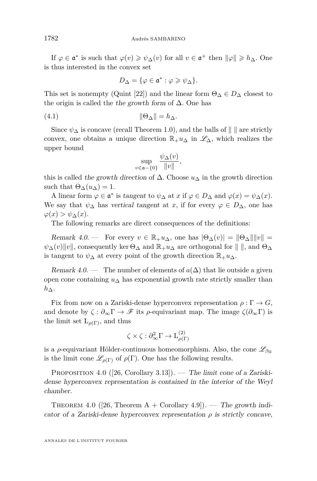<span id="page-28-0"></span>If  $\varphi \in \mathfrak{a}^*$  is such that  $\varphi(v) \geq \psi_\Delta(v)$  for all  $v \in \mathfrak{a}^+$  then  $\|\varphi\| \geq h_\Delta$ . One is thus interested in the convex set

$$
D_{\Delta} = \{ \varphi \in \mathfrak{a}^* : \varphi \geqslant \psi_{\Delta} \}.
$$

This set is nonempty (Quint [\[22\]](#page-43-0)) and the linear form  $\Theta_{\Lambda} \in D_{\Lambda}$  closest to the origin is called the the growth form of ∆*.* One has

(4.1) kΘ∆k = *h*∆*.*

Since  $\psi_{\Delta}$  is concave (recall Theorem [1.0\)](#page-5-0), and the balls of  $\|\cdot\|$  are strictly convex, one obtains a unique direction  $\mathbb{R}_+u_\Delta$  in  $\mathscr{L}_\Delta$ , which realizes the upper bound

$$
\sup_{v \in \mathfrak{a} - \{0\}} \frac{\psi_{\Delta}(v)}{\|v\|},
$$

this is called the growth direction of  $\Delta$ . Choose  $u_{\Delta}$  in the growth direction such that  $\Theta_{\Delta}(u_{\Delta}) = 1$ .

A linear form  $\varphi \in \mathfrak{a}^*$  is tangent to  $\psi_{\Delta}$  at  $x$  if  $\varphi \in D_{\Delta}$  and  $\varphi(x) = \psi_{\Delta}(x)$ . We say that  $\psi_{\Delta}$  has vertical tangent at *x*, if for every  $\varphi \in D_{\Delta}$ , one has  $\varphi(x) > \psi_{\Delta}(x)$ .

The following remarks are direct consequences of the definitions:

Remark 4.0. — For every  $v \in \mathbb{R}_+ u_\Delta$ , one has  $|\Theta_{\Delta}(v)| = ||\Theta_{\Delta}|| ||v|| =$  $\psi_{\Delta}(v)$ ||v||, consequently ker  $\Theta_{\Delta}$  and  $\mathbb{R}_{+}u_{\Delta}$  are orthogonal for  $\|\ \|$ , and  $\Theta_{\Delta}$ is tangent to  $\psi_{\Delta}$  at every point of the growth direction  $\mathbb{R}_{+}u_{\Delta}$ .

Remark 4.0. — The number of elements of  $a(\Delta)$  that lie outside a given open cone containing *u*<sup>∆</sup> has exponential growth rate strictly smaller than *h*∆*.*

Fix from now on a Zariski-dense hyperconvex representation  $\rho : \Gamma \to G$ , and denote by  $\zeta : \partial_{\infty} \Gamma \to \mathscr{F}$  its  $\rho$ -equivariant map. The image  $\zeta(\partial_{\infty} \Gamma)$  is the limit set  $L_{\rho(\Gamma)}$ , and thus

$$
\zeta \times \zeta : \partial^2_{\infty} \Gamma \to {\mathcal L}^{(2)}_{\rho(\Gamma)}
$$

is a *ρ*-equivariant Hölder-continuous homeomorphism. Also, the cone  $\mathscr{L}_{\beta_{\Pi}}$ is the limit cone  $\mathscr{L}_{\rho(\Gamma)}$  of  $\rho(\Gamma)$ . One has the following results.

PROPOSITION 4.0 ([\[26,](#page-43-0) Corollary 3.13]). — The limit cone of a Zariskidense hyperconvex representation is contained in the interior of the Weyl chamber.

THEOREM 4.0 ([\[26,](#page-43-0) Theorem  $A + Corollary 4.9$ ]). — The growth indicator of a Zariski-dense hyperconvex representation  $\rho$  is strictly concave,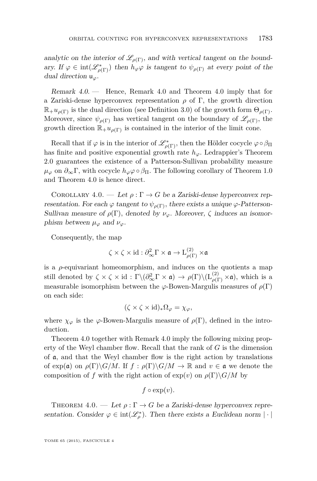<span id="page-29-0"></span>analytic on the interior of  $\mathcal{L}_{\rho(\Gamma)}$ , and with vertical tangent on the boundary. If  $\varphi \in \text{int}(\mathscr{L}_{\rho(\Gamma)}^{*})$  then  $h_{\varphi}\varphi$  is tangent to  $\psi_{\rho(\Gamma)}$  at every point of the dual direction u*ϕ.*

Remark 4.0. — Hence, Remark [4.0](#page-28-0) and Theorem [4.0](#page-28-0) imply that for a Zariski-dense hyperconvex representation *ρ* of Γ*,* the growth direction  $\mathbb{R}_+ u_{\rho(\Gamma)}$  is the dual direction (see Definition [3.0\)](#page-15-0) of the growth form  $\Theta_{\rho(\Gamma)}$ . Moreover, since  $\psi_{\rho(\Gamma)}$  has vertical tangent on the boundary of  $\mathscr{L}_{\rho(\Gamma)}$ , the growth direction  $\mathbb{R}_+ u_{\rho(\Gamma)}$  is contained in the interior of the limit cone.

Recall that if  $\varphi$  is in the interior of  $\mathscr{L}^*_{\rho(\Gamma)}$ , then the Hölder cocycle  $\varphi \circ \beta_{\Pi}$ has finite and positive exponential growth rate  $h_{\varphi}$ . Ledrappier's Theorem [2.0](#page-13-0) guarantees the existence of a Patterson-Sullivan probability measure  $\mu_{\varphi}$  on  $\partial_{\infty}$ Γ, with cocycle  $h_{\varphi}$  $\varphi$  ο  $\beta$ <sub>Π</sub>. The following corollary of Theorem [1.0](#page-5-0) and Theorem [4.0](#page-28-0) is hence direct.

COROLLARY 4.0. — Let  $\rho : \Gamma \to G$  be a Zariski-dense hyperconvex representation. For each  $\varphi$  tangent to  $\psi_{\rho(\Gamma)}$ , there exists a unique  $\varphi$ -Patterson-Sullivan measure of  $\rho(\Gamma)$ , denoted by  $\nu_{\varphi}$ . Moreover,  $\zeta$  induces an isomorphism between  $\mu_{\varphi}$  and  $\nu_{\varphi}$ .

Consequently, the map

$$
\zeta \times \zeta \times \mathrm{id} : \partial^2_{\infty} \Gamma \times \mathfrak{a} \to \mathrm{L}^{(2)}_{\rho(\Gamma)} \times \mathfrak{a}
$$

is a  $\rho$ -equivariant homeomorphism, and induces on the quotients a map still denoted by  $\zeta \times \zeta \times id : \Gamma \backslash (\partial_{\infty}^2 \Gamma \times \mathfrak{a}) \to \rho(\Gamma) \backslash (\mathcal{L}_{\rho(\Gamma)}^{(2)} \times \mathfrak{a})$ , which is a measurable isomorphism between the  $\varphi$ -Bowen-Margulis measures of  $\rho(\Gamma)$ on each side:

$$
(\zeta \times \zeta \times id)_* \Omega_{\varphi} = \chi_{\varphi},
$$

where  $\chi_{\varphi}$  is the  $\varphi$ -Bowen-Margulis measure of  $\rho(\Gamma)$ , defined in the introduction.

Theorem [4.0](#page-27-0) together with Remark 4.0 imply the following mixing property of the Weyl chamber flow. Recall that the rank of *G* is the dimension of a*,* and that the Weyl chamber flow is the right action by translations of  $\exp(\mathfrak{a})$  on  $\rho(\Gamma)\backslash G/M$ . If  $f: \rho(\Gamma)\backslash G/M \to \mathbb{R}$  and  $v \in \mathfrak{a}$  we denote the composition of *f* with the right action of  $\exp(v)$  on  $\rho(\Gamma) \backslash G/M$  by

$$
f\circ \exp(v).
$$

THEOREM 4.0. — Let  $\rho : \Gamma \to G$  be a Zariski-dense hyperconvex representation. Consider  $\varphi \in \text{int}(\mathscr{L}_{\rho}^{*})$ . Then there exists a Euclidean norm  $|\cdot|$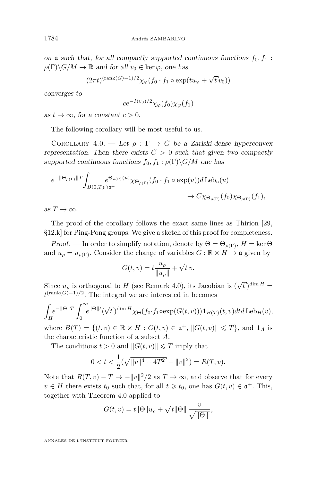<span id="page-30-0"></span>on  $\alpha$  such that, for all compactly supported continuous functions  $f_0, f_1$ :  $\rho(\Gamma)\backslash G/M \to \mathbb{R}$  and for all  $v_0 \in \text{ker }\varphi$ , one has

$$
(2\pi t)^{(\mathrm{rank}(G)-1)/2}\chi_{\varphi}(f_0\cdot f_1\circ\exp(tu_{\varphi}+\sqrt{t}\,v_0))
$$

converges to

$$
ce^{-I(v_0)/2}\chi_{\varphi}(f_0)\chi_{\varphi}(f_1)
$$

as  $t \to \infty$ , for a constant  $c > 0$ .

The following corollary will be most useful to us.

COROLLARY 4.0. — Let  $\rho : \Gamma \to G$  be a Zariski-dense hyperconvex representation. Then there exists  $C > 0$  such that given two compactly supported continuous functions  $f_0, f_1 : \rho(\Gamma) \backslash G/M$  one has

$$
e^{-\|\Theta_{\rho(\Gamma)}\|T}\int_{B(0,T)\cap\mathfrak{a}^+}e^{\Theta_{\rho(\Gamma)}(u)}\chi_{\Theta_{\rho(\Gamma)}}(f_0\cdot f_1\circ\exp(u))d\operatorname{Leb}_{\mathfrak{a}}(u)\nrightarrow C\chi_{\Theta_{\rho(\Gamma)}}(f_0)\chi_{\Theta_{\rho(\Gamma)}}(f_1),
$$

as  $T \to \infty$ .

The proof of the corollary follows the exact same lines as Thirion [\[29,](#page-43-0) §12.k] for Ping-Pong groups. We give a sketch of this proof for completeness.

Proof. — In order to simplify notation, denote by  $\Theta = \Theta_{\rho(\Gamma)}$ ,  $H = \text{ker } \Theta$ and  $u_{\rho} = u_{\rho(\Gamma)}$ . Consider the change of variables  $G : \mathbb{R} \times H \to \mathfrak{a}$  given by

$$
G(t, v) = t \frac{u_{\rho}}{\|u_{\rho}\|} + \sqrt{t} v.
$$

Since  $u_{\rho}$  is orthogonal to *H* (see Remark [4.0\)](#page-28-0), its Jacobian is ( √  $\overline{t}$ )<sup>dim *H*</sup> = *t*<sup>(rank(*G*)−1)/2. The integral we are interested in becomes</sup>

$$
\int_{H} e^{-\|\Theta\|T} \int_{0}^{\infty} e^{\|\Theta\|t} (\sqrt{t})^{\dim H} \chi_{\Theta}(f_0 \cdot f_1 \cdot \exp(G(t, v))) \mathbf{1}_{B(T)}(t, v) dt d \operatorname{Leb}_H(v),
$$

where  $B(T) = \{(t, v) \in \mathbb{R} \times H : G(t, v) \in \mathfrak{a}^+, ||G(t, v)|| \leq T\}$ , and  $\mathbf{1}_A$  is the characteristic function of a subset *A.*

The conditions  $t > 0$  and  $||G(t, v)|| \le T$  imply that

$$
0 < t < \frac{1}{2}(\sqrt{\|v\|^4 + 4T^2} - \|v\|^2) = R(T, v).
$$

Note that  $R(T, v) - T \to -||v||^2/2$  as  $T \to \infty$ , and observe that for every  $v \in H$  there exists  $t_0$  such that, for all  $t \geq t_0$ , one has  $G(t, v) \in \mathfrak{a}^+$ . This, together with Theorem [4.0](#page-29-0) applied to

$$
G(t, v) = t \|\Theta\|u_{\rho} + \sqrt{t \|\Theta\|} \frac{v}{\sqrt{\|\Theta\|}},
$$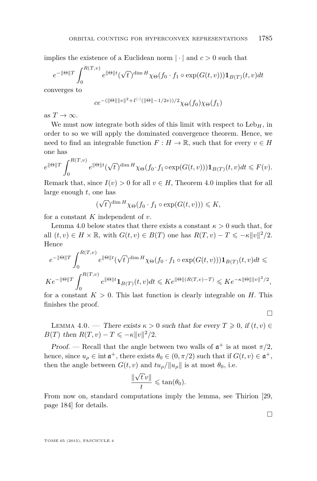implies the existence of a Euclidean norm  $|\cdot|$  and  $c > 0$  such that

$$
e^{-\|\Theta\|T} \int_0^{R(T,v)} e^{\|\Theta\|t} (\sqrt{t})^{\dim H} \chi_\Theta(f_0 \cdot f_1 \circ \exp(G(t,v))) \mathbf{1}_{B(T)}(t,v) dt
$$

converges to

$$
ce^{-(\|\Theta\| \|v\|^2 + I^{|\cdot|}(\|\Theta\| - 1/2v))/2} \chi_{\Theta}(f_0) \chi_{\Theta}(f_1)
$$

as  $T \to \infty$ .

We must now integrate both sides of this limit with respect to  $Leb<sub>H</sub>$ , in order to so we will apply the dominated convergence theorem. Hence, we need to find an integrable function  $F: H \to \mathbb{R}$ , such that for every  $v \in H$ one has

$$
e^{\|\Theta\|T} \int_0^{R(T,v)} e^{\|\Theta\|t} (\sqrt{t})^{\dim H} \chi_\Theta(f_0 \cdot f_1 \circ \exp(G(t,v))) \mathbf{1}_{B(T)}(t,v) dt \leq F(v).
$$

Remark that, since  $I(v) > 0$  for all  $v \in H$ , Theorem [4.0](#page-29-0) implies that for all large enough *t,* one has

$$
(\sqrt{t})^{\dim H} \chi_{\Theta}(f_0 \cdot f_1 \circ \exp(G(t, v))) \leq K,
$$

for a constant *K* independent of *v.*

Lemma 4.0 below states that there exists a constant  $\kappa > 0$  such that, for all  $(t, v) \in H \times \mathbb{R}$ , with  $G(t, v) \in B(T)$  one has  $R(T, v) - T \leqslant -\kappa ||v||^2/2$ . Hence

$$
e^{-\|\Theta\|T} \int_0^{R(T,v)} e^{\|\Theta\|t} (\sqrt{t})^{\dim H} \chi_{\Theta}(f_0 \cdot f_1 \circ \exp(G(t,v))) \mathbf{1}_{B(T)}(t,v) dt \le
$$
  

$$
Ke^{-\|\Theta\|T} \int_0^{R(T,v)} e^{\|\Theta\|t} \mathbf{1}_{B(T)}(t,v) dt \leqslant Ke^{\|\Theta\|(R(T,v)-T)} \leqslant Ke^{-\kappa \|\Theta\| \|v\|^2/2},
$$

for a constant  $K > 0$ . This last function is clearly integrable on *H*. This finishes the proof.

 $\Box$ 

 $\Box$ 

LEMMA 4.0. — There exists  $\kappa > 0$  such that for every  $T \geq 0$ , if  $(t, v) \in$ *B*(*T*) then  $R(T, v) - T \leq -\kappa ||v||^2/2$ .

Proof. — Recall that the angle between two walls of  $\mathfrak{a}^+$  is at most  $\pi/2$ , hence, since  $u_{\rho} \in \text{int } \mathfrak{a}^+$ , there exists  $\theta_0 \in (0, \pi/2)$  such that if  $G(t, v) \in \mathfrak{a}^+$ , then the angle between  $G(t, v)$  and  $tu_{\rho}/||u_{\rho}||$  is at most  $\theta_0$ , i.e.

$$
\frac{\|\sqrt{t}v\|}{t} \leqslant \tan(\theta_0).
$$

From now on, standard computations imply the lemma, see Thirion [\[29,](#page-43-0) page 184] for details.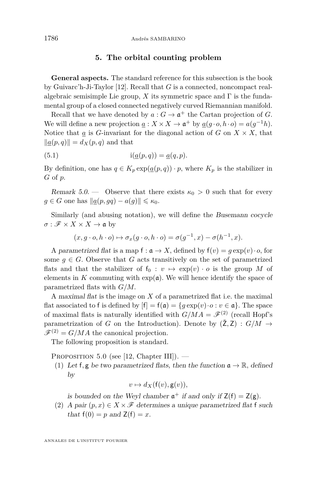#### **5. The orbital counting problem**

<span id="page-32-0"></span>**General aspects.** The standard reference for this subsection is the book by Guivarc'h-Ji-Taylor [\[12\]](#page-42-0). Recall that *G* is a connected, noncompact realalgebraic semisimple Lie group,  $X$  its symmetric space and  $\Gamma$  is the fundamental group of a closed connected negatively curved Riemannian manifold.

Recall that we have denoted by  $a: G \to \mathfrak{a}^+$  the Cartan projection of *G*. We will define a new projection  $\underline{a}: X \times X \to \mathfrak{a}^+$  by  $\underline{a}(g \cdot o, h \cdot o) = a(g^{-1}h)$ . Notice that *a* is *G*-invariant for the diagonal action of *G* on  $X \times X$ , that  $\|\underline{a}(p,q)\| = d_X(p,q)$  and that

(5.1) 
$$
i(\underline{a}(p,q)) = \underline{a}(q,p).
$$

By definition, one has  $q \in K_p \exp(\underline{a}(p,q)) \cdot p$ , where  $K_p$  is the stabilizer in *G* of *p.*

Remark 5.0. — Observe that there exists  $\kappa_0 > 0$  such that for every  $g \in G$  one has  $\|\underline{a}(p, gq) - a(g)\| \leq \kappa_0$ .

Similarly (and abusing notation), we will define the Busemann cocycle  $\sigma : \mathscr{F} \times X \times X \to \mathfrak{a}$  by

$$
(x, g \cdot o, h \cdot o) \mapsto \sigma_x(g \cdot o, h \cdot o) = \sigma(g^{-1}, x) - \sigma(h^{-1}, x).
$$

A parametrized flat is a map  $f : \mathfrak{a} \to X$ , defined by  $f(v) = g \exp(v) \cdot o$ , for some  $g \in G$ . Observe that G acts transitively on the set of parametrized flats and that the stabilizer of  $f_0 : v \mapsto \exp(v) \cdot o$  is the group *M* of elements in  $K$  commuting with  $\exp(\mathfrak{a})$ . We will hence identify the space of parametrized flats with *G/M.*

A maximal flat is the image on *X* of a parametrized flat i.e. the maximal flat associated to f is defined by  $[f] = f(\mathfrak{a}) = \{g \exp(v) \cdot o : v \in \mathfrak{a}\}\.$  The space of maximal flats is naturally identified with  $G/MA = \mathscr{F}^{(2)}$  (recall Hopf's parametrization of *G* on the Introduction). Denote by  $(\mathsf{Z}, \mathsf{Z}) : G/M \to$  $\mathscr{F}^{(2)} = G/MA$  the canonical projection.

The following proposition is standard.

PROPOSITION 5.0 (see [\[12,](#page-42-0) Chapter III]). —

(1) Let f, g be two parametrized flats, then the function  $\mathfrak{a} \to \mathbb{R}$ , defined by

$$
v \mapsto d_X(\mathsf{f}(v), \mathsf{g}(v)),
$$

is bounded on the Weyl chamber  $\mathfrak{a}^+$  if and only if  $\mathsf{Z}(\mathsf{f}) = \mathsf{Z}(\mathsf{g})$ .

(2) A pair  $(p, x) \in X \times \mathcal{F}$  determines a unique parametrized flat f such that  $f(0) = p$  and  $Z(f) = x$ .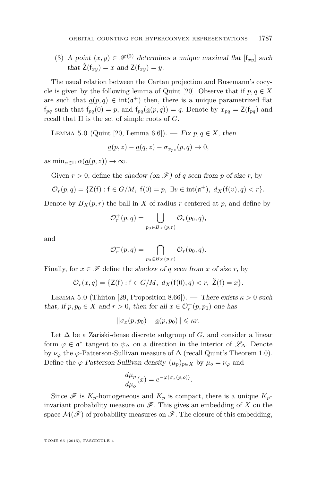<span id="page-33-0"></span>(3) A point  $(x, y) \in \mathscr{F}^{(2)}$  determines a unique maximal flat  $[f_{xy}]$  such that  $\check{Z}(f_{x,y}) = x$  and  $Z(f_{x,y}) = y$ .

The usual relation between the Cartan projection and Busemann's cocy-cle is given by the following lemma of Quint [\[20\]](#page-43-0). Observe that if  $p, q \in X$ are such that  $\underline{a}(p,q) \in \text{int}(\mathfrak{a}^+)$  then, there is a unique parametrized flat  $f_{pq}$  such that  $f_{pq}(0) = p$ , and  $f_{pq}(\underline{a}(p,q)) = q$ . Denote by  $x_{pq} = \mathsf{Z}(f_{pq})$  and recall that Π is the set of simple roots of *G.*

LEMMA 5.0 (Quint [\[20,](#page-43-0) Lemma 6.6]). − Fix  $p, q \in X$ , then

$$
\underline{a}(p,z) - \underline{a}(q,z) - \sigma_{x_{pz}}(p,q) \to 0,
$$

 $\lim_{\alpha \in \Pi} \alpha(a(p, z)) \to \infty$ .

Given  $r > 0$ , define the shadow (on  $\mathscr{F}$ ) of *q* seen from *p* of size *r*, by

$$
\mathcal{O}_r(p,q) = \{ \mathsf{Z}(\mathsf{f}) : \mathsf{f} \in G/M, \ \mathsf{f}(0) = p, \ \exists v \in \mathrm{int}(\mathfrak{a}^+), \ d_X(\mathsf{f}(v), q) < r \}.
$$

Denote by  $B_X(p,r)$  the ball in X of radius r centered at p, and define by

$$
\mathcal{O}_r^+(p,q) = \bigcup_{p_0 \in B_X(p,r)} \mathcal{O}_r(p_0,q),
$$

and

$$
\mathcal{O}_r^-(p,q) = \bigcap_{p_0 \in B_X(p,r)} \mathcal{O}_r(p_0,q).
$$

Finally, for  $x \in \mathcal{F}$  define the shadow of q seen from x of size r, by

$$
\mathcal{O}_r(x,q) = \{ \mathsf{Z}(\mathsf{f}) : \mathsf{f} \in G/M, \ d_X(\mathsf{f}(0), q) < r, \ \check{\mathsf{Z}}(\mathsf{f}) = x \}.
$$

LEMMA 5.0 (Thirion [\[29,](#page-43-0) Proposition 8.66]). — There exists  $\kappa > 0$  such that, if  $p, p_0 \in X$  and  $r > 0$ , then for all  $x \in \mathcal{O}_r^+(p, p_0)$  one has

$$
\|\sigma_x(p, p_0) - \underline{a}(p, p_0)\| \leq \kappa r.
$$

Let  $\Delta$  be a Zariski-dense discrete subgroup of *G*, and consider a linear form  $\varphi \in \mathfrak{a}^*$  tangent to  $\psi_{\Delta}$  on a direction in the interior of  $\mathscr{L}_{\Delta}$ . Denote by  $\nu_\varphi$  the  $\varphi$ -Patterson-Sullivan measure of  $\Delta$  (recall Quint's Theorem [1.0\)](#page-5-0). Define the  $\varphi$ -Patterson-Sullivan density  $(\mu_p)_{p \in X}$  by  $\mu_o = \nu_\varphi$  and

$$
\frac{d\mu_p}{d\mu_o}(x) = e^{-\varphi(\sigma_x(p,o))}.
$$

Since  $\mathscr F$  is  $K_p$ -homogeneous and  $K_p$  is compact, there is a unique  $K_p$ invariant probability measure on  $\mathscr{F}$ . This gives an embedding of X on the space  $\mathcal{M}(\mathscr{F})$  of probability measures on  $\mathscr{F}$ . The closure of this embedding,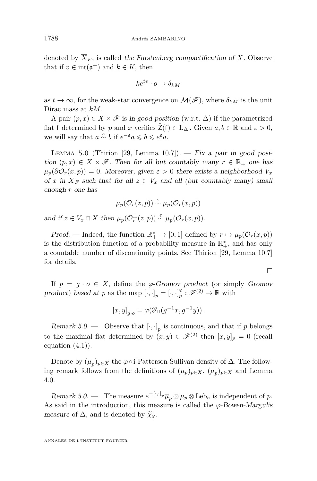<span id="page-34-0"></span>denoted by  $\overline{X}_F$ , is called the Furstenberg compactification of *X*. Observe that if  $v \in \text{int}(\mathfrak{a}^+)$  and  $k \in K$ , then

$$
ke^{tv} \cdot o \to \delta_{kM}
$$

as  $t \to \infty$ , for the weak-star convergence on  $\mathcal{M}(\mathscr{F})$ , where  $\delta_{kM}$  is the unit Dirac mass at *kM.*

A pair  $(p, x) \in X \times \mathscr{F}$  is in good position (w.r.t.  $\Delta$ ) if the parametrized flat f determined by *p* and *x* verifies  $\check{Z}(f) \in L_{\Delta}$ . Given  $a, b \in \mathbb{R}$  and  $\varepsilon > 0$ , we will say that  $a \stackrel{\varepsilon}{\sim} b$  if  $e^{-\varepsilon}a \leqslant b \leqslant e^{\varepsilon}a$ .

LEMMA 5.0 (Thirion [\[29,](#page-43-0) Lemma 10.7]). — Fix a pair in good position  $(p, x) \in X \times \mathscr{F}$ . Then for all but countably many  $r \in \mathbb{R}_+$  one has  $\mu_p(\partial \mathcal{O}_r(x,p)) = 0$ *. Moreover, given*  $\varepsilon > 0$  there exists a neighborhood  $V_x$ of *x* in  $\overline{X}_F$  such that for all  $z \in V_x$  and all (but countably many) small enough *r* one has

$$
\mu_p(\mathcal{O}_r(z,p)) \stackrel{\varepsilon}{\sim} \mu_p(\mathcal{O}_r(x,p))
$$

and if  $z \in V_x \cap X$  then  $\mu_p(\mathcal{O}_r^{\pm}(z,p)) \stackrel{\varepsilon}{\sim} \mu_p(\mathcal{O}_r(x,p)).$ 

Proof. — Indeed, the function  $\mathbb{R}^*_+ \to [0,1]$  defined by  $r \mapsto \mu_p(\mathcal{O}_r(x,p))$ is the distribution function of a probability measure in  $\mathbb{R}^*_+$ , and has only a countable number of discontinuity points. See Thirion [\[29,](#page-43-0) Lemma 10.7] for details.

 $\Box$ 

If  $p = q \cdot o \in X$ , define the  $\varphi$ -Gromov product (or simply Gromov product) based at *p* as the map  $[\cdot, \cdot]_p = [\cdot, \cdot]_p^{\varphi} : \mathscr{F}^{(2)} \to \mathbb{R}$  with

$$
[x,y]_{g\cdot o} = \varphi(\mathscr{G}_{\Pi}(g^{-1}x,g^{-1}y)).
$$

Remark 5.0. — Observe that  $[\cdot, \cdot]_p$  is continuous, and that if p belongs to the maximal flat determined by  $(x, y) \in \mathscr{F}^{(2)}$  then  $[x, y]_p = 0$  (recall equation  $(4.1)$ .

Denote by  $(\overline{\mu}_p)_{p \in X}$  the  $\varphi \circ i$ -Patterson-Sullivan density of  $\Delta$ . The following remark follows from the definitions of  $(\mu_p)_{p \in X}$ ,  $(\overline{\mu}_p)_{p \in X}$  and Lemma [4.0.](#page-26-0)

Remark 5.0. — The measure  $e^{-[\cdot,\cdot]_p}\overline{\mu}_p\otimes\mu_p\otimes\text{Leb}_\mathfrak{a}$  is independent of p. As said in the introduction, this measure is called the *ϕ*-Bowen-Margulis measure of  $\Delta$ , and is denoted by  $\widetilde{\chi}_{\varphi}$ .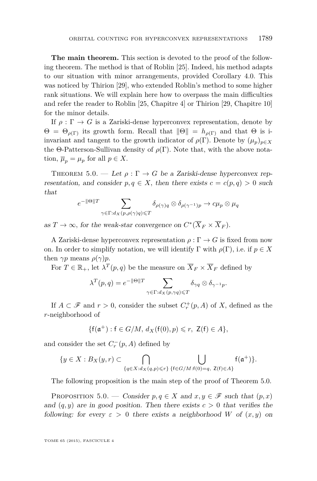<span id="page-35-0"></span>**The main theorem.** This section is devoted to the proof of the following theorem. The method is that of Roblin [\[25\]](#page-43-0). Indeed, his method adapts to our situation with minor arrangements, provided Corollary [4.0.](#page-30-0) This was noticed by Thirion [\[29\]](#page-43-0), who extended Roblin's method to some higher rank situations. We will explain here how to overpass the main difficulties and refer the reader to Roblin [\[25,](#page-43-0) Chapitre 4] or Thirion [\[29,](#page-43-0) Chapitre 10] for the minor details.

If  $\rho : \Gamma \to G$  is a Zariski-dense hyperconvex representation, denote by  $\Theta = \Theta_{\rho(\Gamma)}$  its growth form. Recall that  $\|\Theta\| = h_{\rho(\Gamma)}$  and that  $\Theta$  is iinvariant and tangent to the growth indicator of  $\rho(\Gamma)$ . Denote by  $(\mu_p)_{p \in X}$ the  $\Theta$ -Patterson-Sullivan density of  $\rho(\Gamma)$ . Note that, with the above notation,  $\overline{\mu}_p = \mu_p$  for all  $p \in X$ .

THEOREM 5.0. — Let  $\rho : \Gamma \to G$  be a Zariski-dense hyperconvex representation, and consider  $p, q \in X$ , then there exists  $c = c(p, q) > 0$  such that

$$
e^{-\|\Theta\|T} \sum_{\gamma \in \Gamma: d_X(p, \rho(\gamma)q) \leq T} \delta_{\rho(\gamma)q} \otimes \delta_{\rho(\gamma^{-1})p} \to c\mu_p \otimes \mu_q
$$

as  $T \to \infty$ , for the weak-star convergence on  $C^*(\overline{X}_F \times \overline{X}_F)$ .

A Zariski-dense hyperconvex representation  $\rho : \Gamma \to G$  is fixed from now on. In order to simplify notation, we will identify  $\Gamma$  with  $\rho(\Gamma)$ *,* i.e. if  $p \in X$ then  $\gamma p$  means  $\rho(\gamma)p$ .

For  $T \in \mathbb{R}_+$ , let  $\lambda^T(p,q)$  be the measure on  $\overline{X}_F \times \overline{X}_F$  defined by

$$
\lambda^T(p,q) = e^{-\|\Theta\|T} \sum_{\gamma \in \Gamma: d_X(p,\gamma q) \leq T} \delta_{\gamma q} \otimes \delta_{\gamma^{-1} p}.
$$

If  $A \subset \mathscr{F}$  and  $r > 0$ , consider the subset  $C_r^+(p, A)$  of X, defined as the *r*-neighborhood of

$$
\{f(\mathfrak{a}^+):f\in G/M,\,d_X(f(0),p)\leqslant r,\,\,\mathsf{Z}(f)\in A\},
$$

and consider the set  $C_r^-(p, A)$  defined by

$$
\{y \in X : B_X(y,r) \subset \bigcap_{\{q \in X : d_X(q,p) \leq r\}} \bigcup_{\{\mathsf{f} \in G/M : \mathsf{f}(0) = q, \ Z(\mathsf{f}) \in A\}} \mathsf{f}(\mathfrak{a}^+)\}.
$$

The following proposition is the main step of the proof of Theorem 5.0.

PROPOSITION 5.0. — Consider  $p, q \in X$  and  $x, y \in \mathscr{F}$  such that  $(p, x)$ and  $(q, y)$  are in good position. Then there exists  $c > 0$  that verifies the following: for every  $\varepsilon > 0$  there exists a neighborhood *W* of  $(x, y)$  on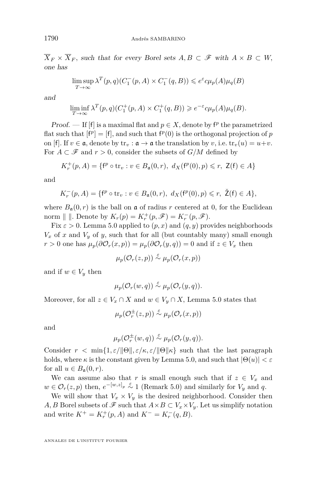$\overline{X}_F \times \overline{X}_F$ , such that for every Borel sets  $A, B \subset \mathscr{F}$  with  $A \times B \subset W$ , one has

$$
\limsup_{T \to \infty} \lambda^T(p, q)(C_1^-(p, A) \times C_1^-(q, B)) \leq e^{\varepsilon} c \mu_p(A) \mu_q(B)
$$

and

$$
\liminf_{T \to \infty} \lambda^T(p, q)(C_1^+(p, A) \times C_1^+(q, B)) \geq e^{-\varepsilon} c \mu_p(A) \mu_q(B).
$$

Proof. — If [f] is a maximal flat and  $p \in X$ , denote by  $f^p$  the parametrized flat such that  $[f^p] = [f]$ , and such that  $f^p(0)$  is the orthogonal projection of *p* on [f]. If  $v \in \mathfrak{a}$ , denote by  $\text{tr}_v : \mathfrak{a} \to \mathfrak{a}$  the translation by *v*, i.e.  $\text{tr}_v(u) = u+v$ . For  $A \subset \mathscr{F}$  and  $r > 0$ , consider the subsets of  $G/M$  defined by

$$
K_r^+(p, A) = \{ f^p \circ \text{tr}_v : v \in B_{\mathfrak{a}}(0, r), \ d_X(f^p(0), p) \le r, \ \mathsf{Z}(f) \in A \}
$$

and

$$
K_r^-(p, A) = \{ f^p \circ \text{tr}_v : v \in B_{\mathfrak{a}}(0, r), \ d_X(f^p(0), p) \le r, \ \check{Z}(f) \in A \},
$$

where  $B_{\mathfrak{a}}(0,r)$  is the ball on  $\mathfrak a$  of radius  $r$  centered at 0, for the Euclidean norm  $\| \|$ . Denote by  $K_r(p) = K_r^+(p, \mathscr{F}) = K_r^-(p, \mathscr{F})$ .

Fix  $\varepsilon > 0$ . Lemma [5.0](#page-34-0) applied to  $(p, x)$  and  $(q, y)$  provides neighborhoods  $V_x$  of *x* and  $V_y$  of *y*, such that for all (but countably many) small enough  $r > 0$  one has  $\mu_p(\partial \mathcal{O}_r(x, p)) = \mu_p(\partial \mathcal{O}_r(y, q)) = 0$  and if  $z \in V_x$  then

$$
\mu_p(\mathcal{O}_r(z,p)) \stackrel{\varepsilon}{\sim} \mu_p(\mathcal{O}_r(x,p))
$$

and if  $w \in V_y$  then

$$
\mu_p(\mathcal{O}_r(w,q)) \stackrel{\varepsilon}{\sim} \mu_p(\mathcal{O}_r(y,q)).
$$

Moreover, for all  $z \in V_x \cap X$  and  $w \in V_y \cap X$ , Lemma [5.0](#page-34-0) states that

$$
\mu_p(\mathcal{O}_r^\pm(z,p))\stackrel{\varepsilon}{\sim} \mu_p(\mathcal{O}_r(x,p))
$$

and

$$
\mu_p(\mathcal{O}_r^{\pm}(w,q)) \stackrel{\varepsilon}{\sim} \mu_p(\mathcal{O}_r(y,q)).
$$

Consider  $r < \min\{1, \varepsilon/\|\Theta\|, \varepsilon/\kappa, \varepsilon/\|\Theta\|\kappa\}$  such that the last paragraph holds, where  $\kappa$  is the constant given by Lemma [5.0,](#page-33-0) and such that  $|\Theta(u)| < \varepsilon$ for all  $u \in B_{\mathfrak{a}}(0,r)$ .

We can assume also that *r* is small enough such that if  $z \in V_x$  and  $w \in \mathcal{O}_r(z,p)$  then,  $e^{-[w,z]_p} \stackrel{\varepsilon}{\sim} 1$  (Remark [5.0\)](#page-34-0) and similarly for  $V_y$  and *q*.

We will show that  $V_x \times V_y$  is the desired neighborhood. Consider then *A, B* Borel subsets of  $\mathscr F$  such that  $A \times B \subset V_x \times V_y$ . Let us simplify notation and write  $K^+ = K^+_r(p, A)$  and  $K^- = K^-_r(q, B)$ .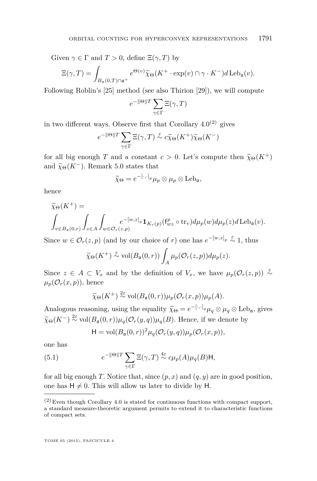<span id="page-37-0"></span>Given  $\gamma \in \Gamma$  and  $T > 0$ , define  $\Xi(\gamma, T)$  by

$$
\Xi(\gamma,T) = \int_{B_{\mathfrak{a}}(0,T)\cap\mathfrak{a}^+} e^{\Theta(v)} \widetilde{\chi}_{\Theta}(K^+ \cdot \exp(v) \cap \gamma \cdot K^-) d\operatorname{Leb}_{\mathfrak{a}}(v).
$$

Following Roblin's [\[25\]](#page-43-0) method (see also Thirion [\[29\]](#page-43-0)), we will compute

$$
e^{-\|\Theta\|T}\sum_{\gamma\in\Gamma}\Xi(\gamma,T)
$$

in two different ways. Observe first that Corollary  $4.0^{(2)}$  $4.0^{(2)}$  gives

$$
e^{-\|\Theta\|T}\sum_{\gamma\in\Gamma}\Xi(\gamma,T)\stackrel{\varepsilon}{\sim}c\widetilde{\chi}_{\Theta}(K^+)\widetilde{\chi}_{\Theta}(K^-)
$$

for all big enough *T* and a constant  $c > 0$ . Let's compute then  $\tilde{\chi}_{\Theta}(K^+)$ and  $\widetilde{\chi}_{\Theta}(K^-)$ . Remark [5.0](#page-34-0) states that

$$
\widetilde{\chi}_{\Theta} = e^{-[\cdot,\cdot]_p} \mu_p \otimes \mu_p \otimes \text{Leb}_{\mathfrak{a}},
$$

hence

$$
\widetilde{\chi}_{\Theta}(K^{+}) = \int_{v \in B_{\mathfrak{a}}(0,r)} \int_{z \in A} \int_{w \in \mathcal{O}_{r}(z,p)} e^{-[w,z]_{p}} \mathbf{1}_{K_{r}(p)}(\mathbf{f}_{wz}^{p} \circ \operatorname{tr}_{v}) d\mu_{p}(w) d\mu_{p}(z) d\operatorname{Leb}_{\mathfrak{a}}(v).
$$

Since  $w \in \mathcal{O}_r(z, p)$  (and by our choice of *r*) one has  $e^{-[w,z]_p} \stackrel{\varepsilon}{\sim} 1$ , thus

$$
\widetilde{\chi}_{\Theta}(K^+) \stackrel{\varepsilon}{\sim} \text{vol}(B_{\mathfrak{a}}(0,r)) \int_A \mu_p(\mathcal{O}_r(z,p)) d\mu_p(z).
$$

Since  $z \in A \subset V_x$  and by the definition of  $V_x$ , we have  $\mu_p(\mathcal{O}_r(z,p)) \stackrel{\epsilon}{\sim}$  $\mu_p(\mathcal{O}_r(x,p))$ , hence

$$
\widetilde{\chi}_{\Theta}(K^+) \stackrel{2\varepsilon}{\sim} \text{vol}(B_{\mathfrak{a}}(0,r))\mu_p(\mathcal{O}_r(x,p))\mu_p(A).
$$

Analogous reasoning, using the equality  $\widetilde{\chi}_{\Theta} = e^{-[\cdot,\cdot]}_q \mu_q \otimes \mu_q \otimes \text{Leb}_q$ , gives  $\widetilde{\chi}_{\Theta} = e^{-[\cdot,\cdot]}_q \mu_q \otimes \mu_q \otimes \text{Leb}_q$  $\widetilde{\chi}_{\Theta}(K^{-}) \stackrel{2\varepsilon}{\sim} \text{vol}(B_{\mathfrak{a}}(0,r))\mu_{q}(\mathcal{O}_{r}(y,q))\mu_{q}(B)$ . Hence, if we denote by

$$
H = vol(B_{\mathfrak{a}}(0,r))^2 \mu_q(\mathcal{O}_r(y,q)) \mu_p(\mathcal{O}_r(x,p)),
$$

one has

(5.1) 
$$
e^{-\|\Theta\|T} \sum_{\gamma \in \Gamma} \Xi(\gamma, T) \stackrel{4\varepsilon}{\sim} c\mu_p(A)\mu_q(B) \mathsf{H},
$$

for all big enough *T*. Notice that, since  $(p, x)$  and  $(q, y)$  are in good position, one has  $H \neq 0$ . This will allow us later to divide by H.

<sup>(2)</sup> Even though Corollary [4.0](#page-30-0) is stated for continuous functions with compact support, a standard measure-theoretic argument permits to extend it to characteristic functions of compact sets.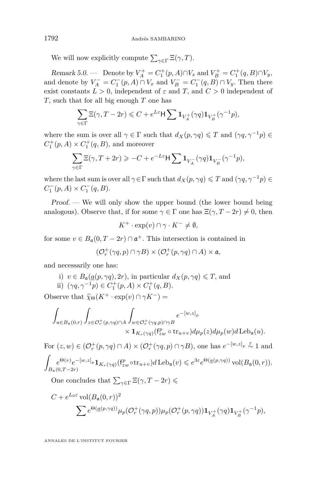<span id="page-38-0"></span>We will now explicitly compute  $\sum_{\gamma \in \Gamma} \Xi(\gamma, T)$ *.* 

Remark 5.0. — Denote by  $V_A^+ = C_1^+(p, A) \cap V_x$  and  $V_B^+ = C_1^+(q, B) \cap V_y$ , and denote by  $V_A^- = C_1^-(p, A) \cap V_x$  and  $V_B^- = C_1^-(q, B) \cap V_y$ . Then there exist constants  $L > 0$ , independent of  $\varepsilon$  and  $T$ , and  $C > 0$  independent of *T,* such that for all big enough *T* one has

$$
\sum_{\gamma \in \Gamma} \Xi(\gamma, T - 2r) \leq C + e^{L\varepsilon} \mathsf{H} \sum \mathbf{1}_{V_A^+}(\gamma q) \mathbf{1}_{V_B^+}(\gamma^{-1} p),
$$

where the sum is over all  $\gamma \in \Gamma$  such that  $d_X(p, \gamma q) \leq T$  and  $(\gamma q, \gamma^{-1} p) \in$  $C_1^+(p, A) \times C_1^+(q, B)$ , and moreover

$$
\sum_{\gamma \in \Gamma} \Xi(\gamma, T + 2r) \geqslant -C + e^{-L\varepsilon} \mathsf{H} \sum \mathbf{1}_{V_A^-}(\gamma q) \mathbf{1}_{V_B^-}(\gamma^{-1} p),
$$

where the last sum is over all  $\gamma \in \Gamma$  such that  $d_X(p, \gamma q) \leq T$  and  $(\gamma q, \gamma^{-1} p) \in$  $C_1^-(p, A) \times C_1^-(q, B)$ .

Proof. — We will only show the upper bound (the lower bound being analogous). Observe that, if for some  $\gamma \in \Gamma$  one has  $\Xi(\gamma, T - 2r) \neq 0$ , then

$$
K^+ \cdot \exp(v) \cap \gamma \cdot K^- \neq \emptyset,
$$

for some  $v \in B_{\mathfrak{a}}(0,T - 2r) \cap \mathfrak{a}^+$ . This intersection is contained in

$$
(\mathcal{O}_r^+(\gamma q,p)\cap\gamma B)\times(\mathcal{O}_r^+(p,\gamma q)\cap A)\times\mathfrak{a},
$$

and necessarily one has:

i) 
$$
v \in B_{\mathfrak{a}}(\underline{a}(p, \gamma q), 2r)
$$
, in particular  $d_X(p, \gamma q) \le T$ , and  
ii)  $(\gamma q, \gamma^{-1} p) \in C_1^+(p, A) \times C_1^+(q, B)$ .

Observe that  $\widetilde{\chi}_{\Theta}(K^+ \cdot \exp(v) \cap \gamma K^-)$  =

$$
\begin{split} \int_{u\in B_{\mathfrak a}(0,r)}\int_{z\in\mathcal O_r^+(p,\gamma q)\cap A}\int_{w\in\mathcal O_r^+(\gamma q,p)\cap\gamma B}e^{-[w,z]_p}\\ &\times\mathbf 1_{K_r(\gamma q)}(\mathsf{f}^p_{zw}\circ \mathrm{tr}_{u+v})d\mu_p(z)d\mu_p(w)d\mathop{\mathrm{Leb}}_\mathfrak a(u). \end{split}
$$

For  $(z, w) \in (\mathcal{O}_r^+(p, \gamma q) \cap A) \times (\mathcal{O}_r^+(\gamma q, p) \cap \gamma B)$ , one has  $e^{-[w, z]_p} \stackrel{\varepsilon}{\sim} 1$  and  $\Gamma$ 

$$
\int_{B_{\mathfrak{a}}(0,T-2r)} e^{-[w,z]_p} \mathbf{1}_{K_r(\gamma q)}(f_{zw}^p \circ \text{tr}_{u+v}) d \operatorname{Leb}_{\mathfrak{a}}(v) \leqslant e^{3\varepsilon} e^{\Theta(\underline{a}(p,\gamma q))} \operatorname{vol}(B_{\mathfrak{a}}(0,r)).
$$

One concludes that  $\sum_{\gamma \in \Gamma} \Xi(\gamma, T - 2r) \leq$ 

$$
C + e^{L_0 \varepsilon} \operatorname{vol}(B_{\mathfrak{a}}(0,r))^2
$$
  

$$
\sum e^{\Theta(\underline{a}(p,\gamma q))} \mu_p(\mathcal{O}_r^+(\gamma q,p)) \mu_p(\mathcal{O}_r^+(p,\gamma q)) \mathbf{1}_{V_A^+}(\gamma q) \mathbf{1}_{V_B^+}(\gamma^{-1} p),
$$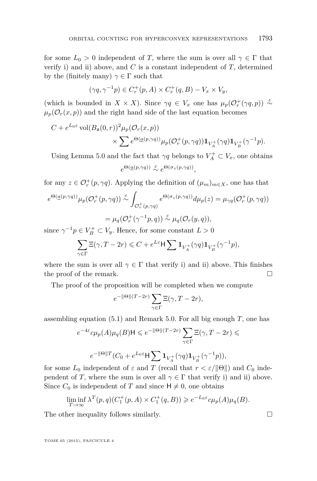for some  $L_0 > 0$  independent of *T*, where the sum is over all  $\gamma \in \Gamma$  that verify i) and ii) above, and  $C$  is a constant independent of  $T$ , determined by the (finitely many)  $\gamma \in \Gamma$  such that

$$
(\gamma q, \gamma^{-1} p) \in C_r^+(p, A) \times C_r^+(q, B) - V_x \times V_y,
$$

(which is bounded in  $X \times X$ ). Since  $\gamma q \in V_x$  one has  $\mu_p(\mathcal{O}_r^+(\gamma q, p)) \stackrel{\epsilon}{\sim}$  $\mu_p(\mathcal{O}_r(x,p))$  and the right hand side of the last equation becomes

$$
C + e^{L_0 \varepsilon} \operatorname{vol}(B_{\mathfrak{a}}(0,r))^2 \mu_p(\mathcal{O}_r(x,p))
$$
  
 
$$
\times \sum e^{\Theta(\underline{a}(p,\gamma q))} \mu_p(\mathcal{O}_r^+(p,\gamma q)) \mathbf{1}_{V_A^+}(\gamma q) \mathbf{1}_{V_B^+}(\gamma^{-1} p).
$$

Using Lemma [5.0](#page-33-0) and the fact that  $\gamma q$  belongs to  $V_A^+ \subset V_x$ , one obtains  $e^{\Theta(\underline{a}(p,\gamma q))} \stackrel{\varepsilon}{\sim} e^{\Theta(\sigma_z(p,\gamma q))},$ 

for any  $z \in \mathcal{O}_r^+(p, \gamma q)$ . Applying the definition of  $(\mu_m)_{m \in X}$ , one has that

$$
e^{\Theta(\underline{a}(p,\gamma q))}\mu_p(\mathcal{O}_r^+(p,\gamma q)) \stackrel{\varepsilon}{\sim} \int_{\mathcal{O}_r^+(p,\gamma q)} e^{\Theta(\sigma_z(p,\gamma q))} d\mu_p(z) = \mu_{\gamma q}(\mathcal{O}_r^+(p,\gamma q))
$$

$$
= \mu_q(\mathcal{O}_r^+(\gamma^{-1}p,q)) \stackrel{\varepsilon}{\sim} \mu_q(\mathcal{O}_r(y,q)),
$$

since  $\gamma^{-1}p \in V_B^+ \subset V_y$ . Hence, for some constant  $L > 0$ 

$$
\sum_{\gamma \in \Gamma} \Xi(\gamma, T - 2r) \leq C + e^{L\varepsilon} \mathsf{H} \sum \mathbf{1}_{V_A^+}(\gamma q) \mathbf{1}_{V_B^+}(\gamma^{-1} p),
$$

where the sum is over all  $\gamma \in \Gamma$  that verify i) and ii) above. This finishes the proof of the remark.

The proof of the proposition will be completed when we compute

$$
e^{-\|\Theta\|(T-2r)}\sum_{\gamma\in\Gamma}\Xi(\gamma,T-2r),
$$

assembling equation [\(5.1\)](#page-37-0) and Remark [5.0.](#page-38-0) For all big enough *T,* one has

$$
e^{-4\varepsilon}c\mu_p(A)\mu_q(B)\mathsf{H} \leqslant e^{-\|\Theta\|(T-2r)}\sum_{\gamma\in\Gamma}\Xi(\gamma,T-2r)\leqslant
$$
  

$$
e^{-\|\Theta\|T}(C_0 + e^{L_0\varepsilon}\mathsf{H}\sum \mathbf{1}_{V_A^+}(\gamma q)\mathbf{1}_{V_B^+}(\gamma^{-1}p)),
$$

for some  $L_0$  independent of  $\varepsilon$  and  $T$  (recall that  $r < \varepsilon / ||\Theta||$ ) and  $C_0$  independent of *T*, where the sum is over all  $\gamma \in \Gamma$  that verify i) and ii) above. Since  $C_0$  is independent of  $T$  and since  $H \neq 0$ , one obtains

$$
\liminf_{T \to \infty} \lambda^T(p, q)(C_1^+(p, A) \times C_1^+(q, B)) \geq e^{-L_0 \varepsilon} c \mu_p(A) \mu_q(B).
$$

The other inequality follows similarly.  $\Box$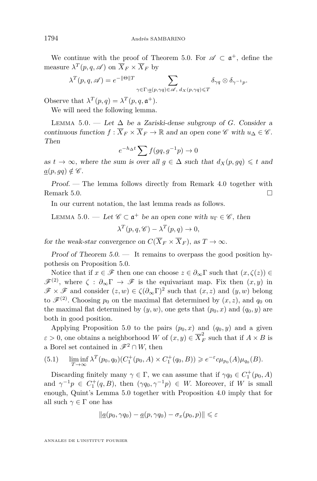<span id="page-40-0"></span>We continue with the proof of Theorem [5.0.](#page-35-0) For  $\mathscr{A} \subset \mathfrak{a}^+$ , define the measure  $\lambda^T(p, q, \mathscr{A})$  on  $\overline{X}_F \times \overline{X}_F$  by

$$
\lambda^T(p,q,\mathscr{A}) = e^{-\|\Theta\|T} \sum_{\gamma \in \Gamma: \underline{a}(p,\gamma q) \in \mathscr{A}, d_X(p,\gamma q) \leq T} \delta_{\gamma q} \otimes \delta_{\gamma^{-1} p}.
$$

Observe that  $\lambda^T(p,q) = \lambda^T(p,q,\mathfrak{a}^+).$ 

We will need the following lemma.

LEMMA 5.0. — Let  $\Delta$  be a Zariski-dense subgroup of *G*. Consider a continuous function  $f : \overline{X}_F \times \overline{X}_F \to \mathbb{R}$  and an open cone  $\mathscr{C}$  with  $u_{\Delta} \in \mathscr{C}$ . Then

$$
e^{-h_{\Delta}t} \sum f(gq, g^{-1}p) \to 0
$$

as  $t \to \infty$ , where the sum is over all  $g \in \Delta$  such that  $d_X(p, gq) \leq t$  and  $a(p, qq) \notin \mathscr{C}$ *.* 

Proof. — The lemma follows directly from Remark [4.0](#page-28-0) together with Remark [5.0.](#page-32-0)

In our current notation, the last lemma reads as follows.

LEMMA 5.0. — Let 
$$
\mathscr{C} \subset \mathfrak{a}^+
$$
 be an open cone with  $u_{\Gamma} \in \mathscr{C}$ , then  

$$
\lambda^T(p, q, \mathscr{C}) - \lambda^T(p, q) \to 0,
$$

for the weak-star convergence on  $C(\overline{X}_F \times \overline{X}_F)$ , as  $T \to \infty$ .

Proof of Theorem  $5.0.$  — It remains to overpass the good position hypothesis on Proposition [5.0.](#page-35-0)

Notice that if  $x \in \mathscr{F}$  then one can choose  $z \in \partial_{\infty} \Gamma$  such that  $(x, \zeta(z)) \in$  $\mathscr{F}^{(2)}$ , where  $\zeta : \partial_{\infty} \Gamma \to \mathscr{F}$  is the equivariant map. Fix then  $(x, y)$  in  $\mathscr{F} \times \mathscr{F}$  and consider  $(z, w) \in \zeta(\partial_\infty \Gamma)^2$  such that  $(x, z)$  and  $(y, w)$  belong to  $\mathscr{F}^{(2)}$ . Choosing  $p_0$  on the maximal flat determined by  $(x, z)$ , and  $q_0$  on the maximal flat determined by  $(y, w)$ , one gets that  $(p_0, x)$  and  $(q_0, y)$  are both in good position.

Applying Proposition [5.0](#page-35-0) to the pairs  $(p_0, x)$  and  $(q_0, y)$  and a given  $\varepsilon > 0$ , one obtains a neighborhood *W* of  $(x, y) \in \overline{X}_F^2$  such that if  $A \times B$  is a Borel set contained in  $\mathscr{F}^2 \cap W$ , then

(5.1) 
$$
\liminf_{T \to \infty} \lambda^T(p_0, q_0)(C_1^+(p_0, A) \times C_1^+(q_0, B)) \geq e^{-\varepsilon}c\mu_{p_0}(A)\mu_{q_0}(B).
$$

Discarding finitely many  $\gamma \in \Gamma$ , we can assume that if  $\gamma q_0 \in C_1^+(p_0, A)$ and  $\gamma^{-1}p \in C_1^+(q, B)$ , then  $(\gamma q_0, \gamma^{-1}p) \in W$ . Moreover, if *W* is small enough, Quint's Lemma [5.0](#page-33-0) together with Proposition [4.0](#page-28-0) imply that for all such  $\gamma \in \Gamma$  one has

$$
\|\underline{a}(p_0,\gamma q_0) - \underline{a}(p,\gamma q_0) - \sigma_x(p_0,p)\| \leqslant \varepsilon
$$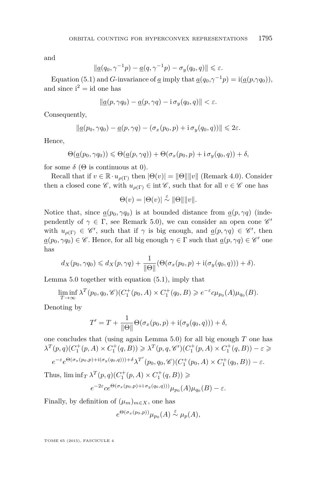and

$$
\|\underline{a}(q_0,\gamma^{-1}p)-\underline{a}(q,\gamma^{-1}p)-\sigma_y(q_0,q)\|\leq \varepsilon.
$$

Equation [\(5.1\)](#page-32-0) and *G*-invariance of *a* imply that  $a(q_0, \gamma^{-1}p) = i(a(p, \gamma q_0))$ , and since  $i^2 = id$  one has

$$
\|\underline{a}(p,\gamma q_0) - \underline{a}(p,\gamma q) - \mathrm{i}\,\sigma_y(q_0,q)\| < \varepsilon.
$$

Consequently,

$$
\|\underline{a}(p_0,\gamma q_0)-\underline{a}(p,\gamma q)-(\sigma_x(p_0,p)+\mathrm{i}\,\sigma_y(q_0,q))\|\leq 2\varepsilon.
$$

Hence,

$$
\Theta(\underline{a}(p_0, \gamma q_0)) \leq \Theta(\underline{a}(p, \gamma q)) + \Theta(\sigma_x(p_0, p) + i \sigma_y(q_0, q)) + \delta,
$$

for some  $\delta$  ( $\Theta$  is continuous at 0).

Recall that if  $v \in \mathbb{R} \cdot u_{\rho(\Gamma)}$  then  $|\Theta(v)| = ||\Theta|| ||v||$  (Remark [4.0\)](#page-28-0). Consider then a closed cone  $\mathscr{C}$ , with  $u_{\rho(\Gamma)} \in \text{int } \mathscr{C}$ , such that for all  $v \in \mathscr{C}$  one has

$$
\Theta(v) = |\Theta(v)| \stackrel{\varepsilon}{\sim} ||\Theta|| ||v||.
$$

Notice that, since  $a(p_0, \gamma q_0)$  is at bounded distance from  $a(p, \gamma q)$  (independently of  $\gamma \in \Gamma$ , see Remark [5.0\)](#page-32-0), we can consider an open cone  $\mathscr{C}'$ with  $u_{\rho(\Gamma)} \in \mathscr{C}'$ , such that if  $\gamma$  is big enough, and  $\underline{a}(p, \gamma q) \in \mathscr{C}'$ , then  $\underline{a}(p_0, \gamma q_0) \in \mathscr{C}$ . Hence, for all big enough  $\gamma \in \Gamma$  such that  $\underline{a}(p, \gamma q) \in \mathscr{C}'$  one has

$$
d_X(p_0, \gamma q_0) \leq d_X(p, \gamma q) + \frac{1}{\|\Theta\|} (\Theta(\sigma_x(p_0, p) + \mathrm{i}(\sigma_y(q_0, q))) + \delta).
$$

Lemma [5.0](#page-40-0) together with equation [\(5.1\)](#page-40-0), imply that

$$
\liminf_{T \to \infty} \lambda^T(p_0, q_0, \mathscr{C}) (C_1^+(p_0, A) \times C_1^+(q_0, B) \geqslant e^{-\varepsilon} c \mu_{p_0}(A) \mu_{q_0}(B).
$$

Denoting by

$$
T' = T + \frac{1}{\|\Theta\|} \Theta(\sigma_x(p_0, p) + \mathrm{i}(\sigma_y(q_0, q))) + \delta,
$$

one concludes that (using again Lemma [5.0\)](#page-40-0) for all big enough *T* one has  $\lambda^T(p,q)(C_1^+(p,A) \times C_1^+(q,B)) \geq \lambda^T(p,q,\mathscr{C}')(C_1^+(p,A) \times C_1^+(q,B)) - \varepsilon \geq 0$ 

 $e^{-\varepsilon}e^{\Theta(\sigma_x(p_0,p)+i(\sigma_y(q_0,q)))+\delta}\lambda^{T'}(p_0,q_0,\mathscr{C})(C_1^+(p_0,A)\times C_1^+(q_0,B))-\varepsilon.$ 

Thus,  $\liminf_{T} \lambda^{T}(p,q) (C_1^+(p,A) \times C_1^+(q,B)) \geq$  $e^{-2\varepsilon} c e^{\Theta(\sigma_x(p_0, p) + i \sigma_y(q_0, q)))} \mu_{p_0}(A) \mu_{q_0}(B) - \varepsilon.$ 

Finally, by definition of  $(\mu_m)_{m \in X}$ , one has

$$
e^{\Theta(\sigma_x(p_0,p))}\mu_{p_0}(A) \stackrel{\varepsilon}{\sim} \mu_p(A),
$$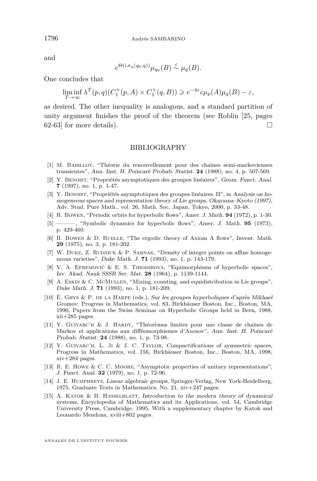and

$$
e^{\Theta(i \sigma_y(q_0, q))} \mu_{q_0}(B) \stackrel{\varepsilon}{\sim} \mu_q(B).
$$

One concludes that

$$
\liminf_{T \to \infty} \lambda^T(p, q)(C_1^+(p, A) \times C_1^+(q, B)) \geq e^{-4\varepsilon} c\mu_p(A)\mu_q(B) - \varepsilon,
$$

as desired. The other inequality is analogous, and a standard partition of unity argument finishes the proof of the theorem (see Roblin [\[25,](#page-43-0) pages 62-63] for more details).

#### BIBLIOGRAPHY

- [1] M. Babillot, "Théorie du renouvellement pour des chaînes semi-markoviennes transientes", Ann. Inst. H. Poincaré Probab. Statist. **24** (1988), no. 4, p. 507-569.
- [2] Y. Benoist, "Propriétés asymptotiques des groupes linéaires", Geom. Funct. Anal. **7** (1997), no. 1, p. 1-47.
- [3] Y. Benoist, "Propriétés asymptotiques des groupes linéaires. II", in Analysis on homogeneous spaces and representation theory of Lie groups, Okayama–Kyoto (1997), Adv. Stud. Pure Math., vol. 26, Math. Soc. Japan, Tokyo, 2000, p. 33-48.
- [4] R. Bowen, "Periodic orbits for hyperbolic flows", Amer. J. Math. **94** (1972), p. 1-30.
- [5] ——— , "Symbolic dynamics for hyperbolic flows", Amer. J. Math. **95** (1973), p. 429-460.
- [6] R. Bowen & D. RUELLE, "The ergodic theory of Axiom A flows", Invent. Math. **29** (1975), no. 3, p. 181-202.
- [7] W. DUKE, Z. RUDNICK & P. SARNAK, "Density of integer points on affine homogeneous varieties", Duke Math. J. **71** (1993), no. 1, p. 143-179.
- [8] V. A. Efremovič & E. S. Tihomirova, "Equimorphisms of hyperbolic spaces", Izv. Akad. Nauk SSSR Ser. Mat. **28** (1964), p. 1139-1144.
- [9] A. Eskin & C. McMullen, "Mixing, counting, and equidistribution in Lie groups", Duke Math. J. **71** (1993), no. 1, p. 181-209.
- [10] É. Ghys & P. de la Harpe (eds.), Sur les groupes hyperboliques d'après Mikhael Gromov, Progress in Mathematics, vol. 83, Birkhäuser Boston, Inc., Boston, MA, 1990, Papers from the Swiss Seminar on Hyperbolic Groups held in Bern, 1988, xii+285 pages.
- [11] Y. Guivarc'h & J. Hardy, "Théorèmes limites pour une classe de chaînes de Markov et applications aux difféomorphismes d'Anosov", Ann. Inst. H. Poincaré Probab. Statist. **24** (1988), no. 1, p. 73-98.
- [12] Y. Guivarc'h, L. Ji & J. C. Taylor, Compactifications of symmetric spaces, Progress in Mathematics, vol. 156, Birkhäuser Boston, Inc., Boston, MA, 1998,  $xiv+284$  pages.
- [13] R. E. Howe & C. C. Moore, "Asymptotic properties of unitary representations", J. Funct. Anal. **32** (1979), no. 1, p. 72-96.
- [14] J. E. Humphreys, Linear algebraic groups, Springer-Verlag, New York-Heidelberg, 1975, Graduate Texts in Mathematics, No. 21, xiv+247 pages.
- [15] A. KATOK & B. HASSELBLATT, Introduction to the modern theory of dynamical systems, Encyclopedia of Mathematics and its Applications, vol. 54, Cambridge University Press, Cambridge, 1995, With a supplementary chapter by Katok and Leonardo Mendoza, xviii+802 pages.

<span id="page-42-0"></span>